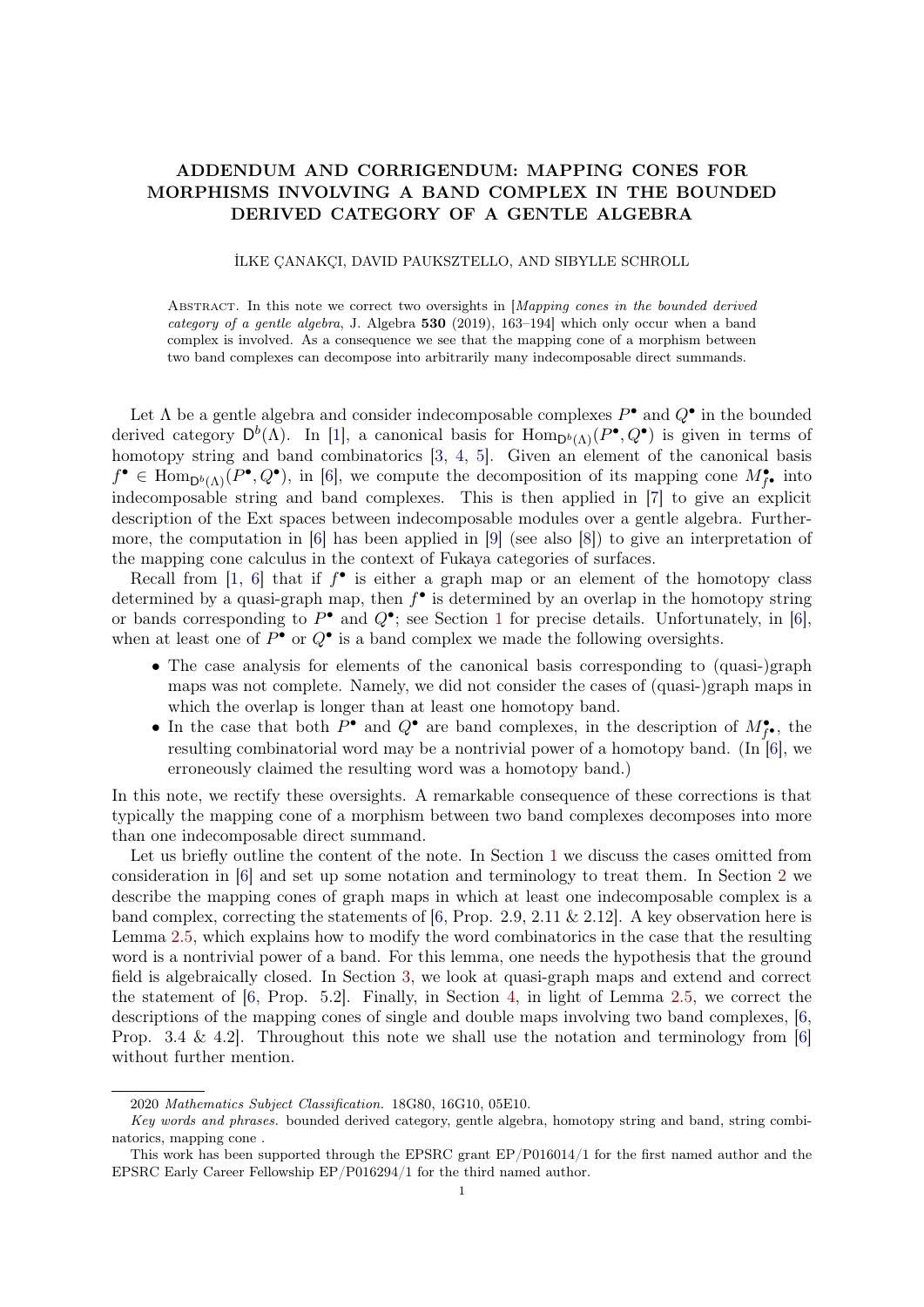# ADDENDUM AND CORRIGENDUM: MAPPING CONES FOR MORPHISMS INVOLVING A BAND COMPLEX IN THE BOUNDED DERIVED CATEGORY OF A GENTLE ALGEBRA

# İLKE ÇANAKÇI, DAVID PAUKSZTELLO, AND SIBYLLE SCHROLL

ABSTRACT. In this note we correct two oversights in [Mapping cones in the bounded derived category of a gentle algebra, J. Algebra 530 (2019), 163–194] which only occur when a band complex is involved. As a consequence we see that the mapping cone of a morphism between two band complexes can decompose into arbitrarily many indecomposable direct summands.

Let  $\Lambda$  be a gentle algebra and consider indecomposable complexes  $P^{\bullet}$  and  $Q^{\bullet}$  in the bounded derived category  $D^b(\Lambda)$ . In [\[1\]](#page-12-0), a canonical basis for  $\text{Hom}_{D^b(\Lambda)}(P^{\bullet}, Q^{\bullet})$  is given in terms of homotopy string and band combinatorics [\[3,](#page-12-1) [4,](#page-12-2) [5\]](#page-13-0). Given an element of the canonical basis  $f^{\bullet} \in \text{Hom}_{\mathsf{D}^b(\Lambda)}(P^{\bullet}, Q^{\bullet}),$  in [\[6\]](#page-13-1), we compute the decomposition of its mapping cone  $M^{\bullet}_{f^{\bullet}}$  into indecomposable string and band complexes. This is then applied in [\[7\]](#page-13-2) to give an explicit description of the Ext spaces between indecomposable modules over a gentle algebra. Furthermore, the computation in [\[6\]](#page-13-1) has been applied in [\[9\]](#page-13-3) (see also [\[8\]](#page-13-4)) to give an interpretation of the mapping cone calculus in the context of Fukaya categories of surfaces.

Recall from [\[1,](#page-12-0) [6\]](#page-13-1) that if  $f^{\bullet}$  is either a graph map or an element of the homotopy class determined by a quasi-graph map, then  $f^{\bullet}$  is determined by an overlap in the homotopy string or bands corresponding to  $P^{\bullet}$  and  $Q^{\bullet}$ ; see Section [1](#page-1-0) for precise details. Unfortunately, in [\[6\]](#page-13-1), when at least one of  $P^{\bullet}$  or  $Q^{\bullet}$  is a band complex we made the following oversights.

- The case analysis for elements of the canonical basis corresponding to (quasi-)graph maps was not complete. Namely, we did not consider the cases of (quasi-)graph maps in which the overlap is longer than at least one homotopy band.
- In the case that both  $P^{\bullet}$  and  $Q^{\bullet}$  are band complexes, in the description of  $M^{\bullet}_{f^{\bullet}}$ , the resulting combinatorial word may be a nontrivial power of a homotopy band. (In [\[6\]](#page-13-1), we erroneously claimed the resulting word was a homotopy band.)

In this note, we rectify these oversights. A remarkable consequence of these corrections is that typically the mapping cone of a morphism between two band complexes decomposes into more than one indecomposable direct summand.

Let us briefly outline the content of the note. In Section [1](#page-1-0) we discuss the cases omitted from consideration in [\[6\]](#page-13-1) and set up some notation and terminology to treat them. In Section [2](#page-2-0) we describe the mapping cones of graph maps in which at least one indecomposable complex is a band complex, correcting the statements of [\[6,](#page-13-1) Prop. 2.9, 2.11 & 2.12]. A key observation here is Lemma [2.5,](#page-7-0) which explains how to modify the word combinatorics in the case that the resulting word is a nontrivial power of a band. For this lemma, one needs the hypothesis that the ground field is algebraically closed. In Section [3,](#page-10-0) we look at quasi-graph maps and extend and correct the statement of [\[6,](#page-13-1) Prop. 5.2]. Finally, in Section [4,](#page-12-3) in light of Lemma [2.5,](#page-7-0) we correct the descriptions of the mapping cones of single and double maps involving two band complexes, [\[6,](#page-13-1) Prop. 3.4 & 4.2. Throughout this note we shall use the notation and terminology from [\[6\]](#page-13-1) without further mention.

<sup>2020</sup> Mathematics Subject Classification. 18G80, 16G10, 05E10.

Key words and phrases. bounded derived category, gentle algebra, homotopy string and band, string combinatorics, mapping cone .

This work has been supported through the EPSRC grant EP/P016014/1 for the first named author and the EPSRC Early Career Fellowship EP/P016294/1 for the third named author.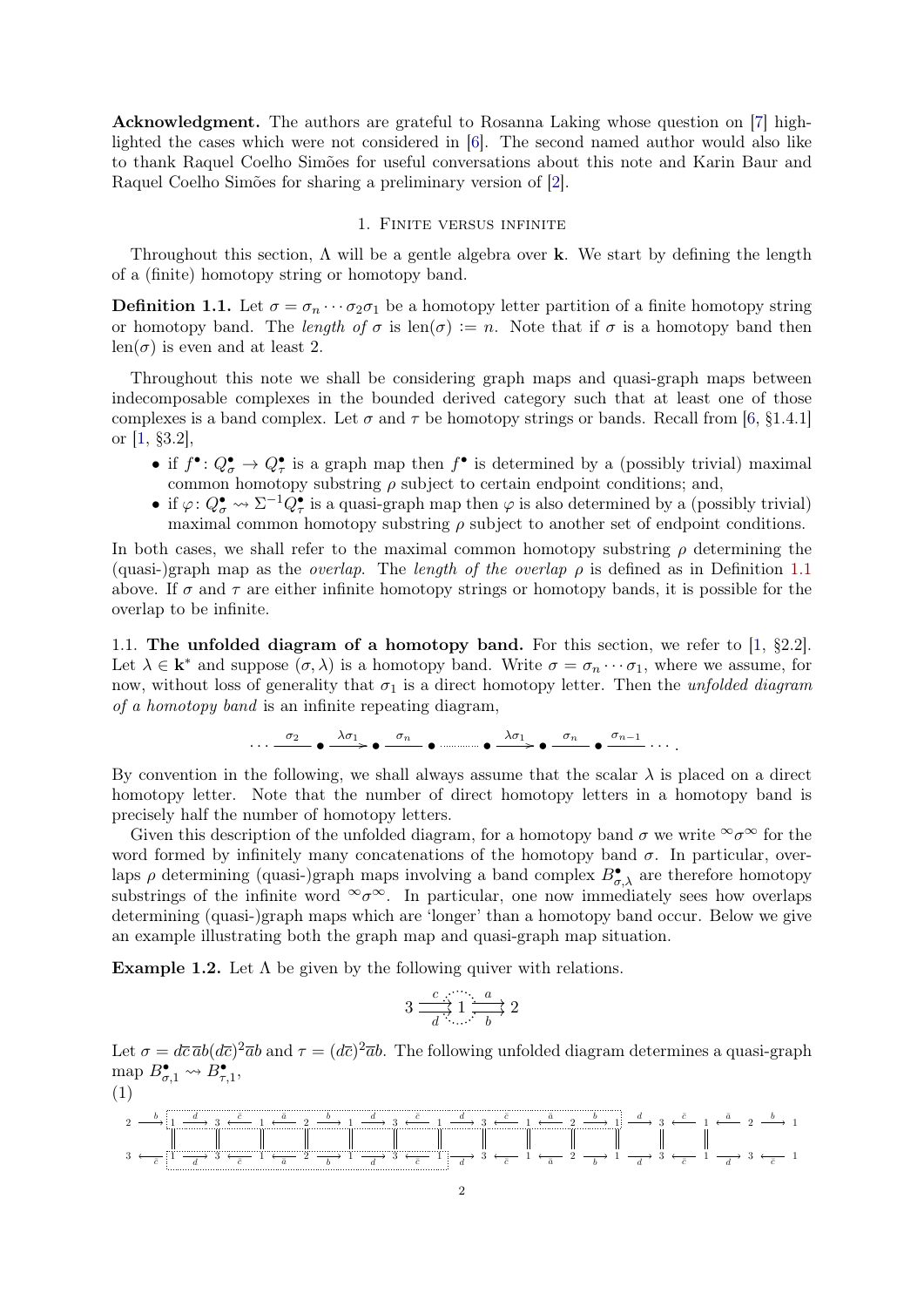Acknowledgment. The authors are grateful to Rosanna Laking whose question on [\[7\]](#page-13-2) highlighted the cases which were not considered in [\[6\]](#page-13-1). The second named author would also like to thank Raquel Coelho Simões for useful conversations about this note and Karin Baur and Raquel Coelho Simões for sharing a preliminary version of [\[2\]](#page-12-4).

# 1. Finite versus infinite

<span id="page-1-0"></span>Throughout this section,  $\Lambda$  will be a gentle algebra over **k**. We start by defining the length of a (finite) homotopy string or homotopy band.

<span id="page-1-1"></span>**Definition 1.1.** Let  $\sigma = \sigma_n \cdots \sigma_2 \sigma_1$  be a homotopy letter partition of a finite homotopy string or homotopy band. The length of  $\sigma$  is len $(\sigma) := n$ . Note that if  $\sigma$  is a homotopy band then  $len(\sigma)$  is even and at least 2.

Throughout this note we shall be considering graph maps and quasi-graph maps between indecomposable complexes in the bounded derived category such that at least one of those complexes is a band complex. Let  $\sigma$  and  $\tau$  be homotopy strings or bands. Recall from [\[6,](#page-13-1) §1.4.1] or [\[1,](#page-12-0) §3.2],

- if  $f^{\bullet}: Q_{\sigma}^{\bullet} \to Q_{\tau}^{\bullet}$  is a graph map then  $f^{\bullet}$  is determined by a (possibly trivial) maximal common homotopy substring  $\rho$  subject to certain endpoint conditions; and,
- if  $\varphi: Q^{\bullet}_{\sigma} \to \Sigma^{-1} Q^{\bullet}_{\tau}$  is a quasi-graph map then  $\varphi$  is also determined by a (possibly trivial) maximal common homotopy substring  $\rho$  subject to another set of endpoint conditions.

In both cases, we shall refer to the maximal common homotopy substring  $\rho$  determining the (quasi-)graph map as the *overlap*. The *length of the overlap*  $\rho$  is defined as in Definition [1.1](#page-1-1) above. If  $\sigma$  and  $\tau$  are either infinite homotopy strings or homotopy bands, it is possible for the overlap to be infinite.

1.1. The unfolded diagram of a homotopy band. For this section, we refer to [\[1,](#page-12-0) §2.2]. Let  $\lambda \in \mathbf{k}^*$  and suppose  $(\sigma, \lambda)$  is a homotopy band. Write  $\sigma = \sigma_n \cdots \sigma_1$ , where we assume, for now, without loss of generality that  $\sigma_1$  is a direct homotopy letter. Then the unfolded diagram of a homotopy band is an infinite repeating diagram,

$$
\cdots \stackrel{\sigma_2}{\longrightarrow} \bullet \stackrel{\lambda \sigma_1}{\longrightarrow} \bullet \stackrel{\sigma_n}{\longrightarrow} \bullet \stackrel{\ldots}{\longrightarrow} \bullet \stackrel{\lambda \sigma_1}{\longrightarrow} \bullet \stackrel{\sigma_n}{\longrightarrow} \bullet \stackrel{\sigma_{n-1}}{\longrightarrow} \cdots.
$$

By convention in the following, we shall always assume that the scalar  $\lambda$  is placed on a direct homotopy letter. Note that the number of direct homotopy letters in a homotopy band is precisely half the number of homotopy letters.

Given this description of the unfolded diagram, for a homotopy band  $\sigma$  we write  $\infty$  for the word formed by infinitely many concatenations of the homotopy band  $\sigma$ . In particular, overlaps  $\rho$  determining (quasi-)graph maps involving a band complex  $B^{\bullet}_{\sigma,\lambda}$  are therefore homotopy substrings of the infinite word  $\infty \infty$ . In particular, one now immediately sees how overlaps determining (quasi-)graph maps which are 'longer' than a homotopy band occur. Below we give an example illustrating both the graph map and quasi-graph map situation.

<span id="page-1-2"></span>**Example 1.2.** Let  $\Lambda$  be given by the following quiver with relations.

$$
3 \xrightarrow[d]{c} 1 \xrightarrow[d]{a} 2
$$

Let  $\sigma = d\bar{c} \bar{a}b(d\bar{c})^2 \bar{a}b$  and  $\tau = (d\bar{c})^2 \bar{a}b$ . The following unfolded diagram determines a quasi-graph map  $B_{\sigma,1}^{\bullet} \rightsquigarrow B_{\tau,1}^{\bullet}$ , (1)

<span id="page-1-3"></span>2 1 3 1 2 1 3 1 3 1 2 1 3 1 2 1 3 1 3 1 2 1 3 1 3 1 2 1 3 1 3 1 b c¯ d d c¯ c¯ a¯ a¯ b b d d c¯ c¯ d d c¯ c¯ a¯ a¯ b b d d c¯ c¯ a¯ d b c¯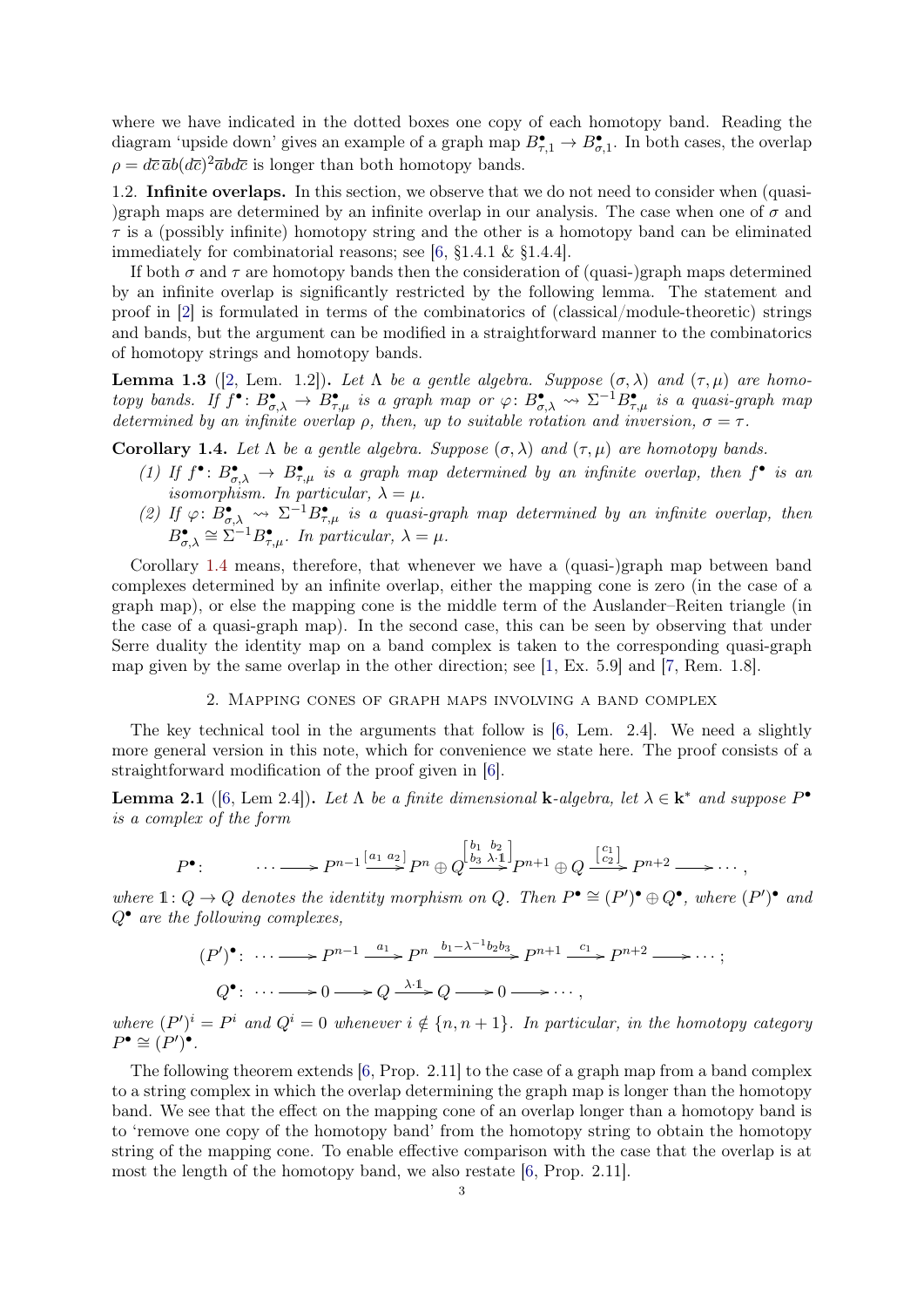where we have indicated in the dotted boxes one copy of each homotopy band. Reading the diagram 'upside down' gives an example of a graph map  $B_{\tau,1}^{\bullet} \to B_{\sigma,1}^{\bullet}$ . In both cases, the overlap  $\rho = d\bar{c} \bar{a} b (d\bar{c})^2 \bar{a} b d\bar{c}$  is longer than both homotopy bands.

1.2. Infinite overlaps. In this section, we observe that we do not need to consider when (quasi- )graph maps are determined by an infinite overlap in our analysis. The case when one of  $\sigma$  and  $\tau$  is a (possibly infinite) homotopy string and the other is a homotopy band can be eliminated immediately for combinatorial reasons; see [\[6,](#page-13-1) §1.4.1 & §1.4.4].

If both  $\sigma$  and  $\tau$  are homotopy bands then the consideration of (quasi-)graph maps determined by an infinite overlap is significantly restricted by the following lemma. The statement and proof in [\[2\]](#page-12-4) is formulated in terms of the combinatorics of (classical/module-theoretic) strings and bands, but the argument can be modified in a straightforward manner to the combinatorics of homotopy strings and homotopy bands.

**Lemma 1.3** ([\[2,](#page-12-4) Lem. 1.2]). Let  $\Lambda$  be a gentle algebra. Suppose  $(\sigma, \lambda)$  and  $(\tau, \mu)$  are homotopy bands. If  $f^{\bullet} : B^{\bullet}_{\sigma,\lambda} \to B^{\bullet}_{\tau,\mu}$  is a graph map or  $\varphi : B^{\bullet}_{\sigma,\lambda} \to \Sigma^{-1} B^{\bullet}_{\tau,\mu}$  is a quasi-graph map determined by an infinite overlap  $\rho$ , then, up to suitable rotation and inversion,  $\sigma = \tau$ .

<span id="page-2-1"></span>Corollary 1.4. Let  $\Lambda$  be a gentle algebra. Suppose  $(\sigma, \lambda)$  and  $(\tau, \mu)$  are homotopy bands.

- (1) If  $f^{\bullet} : B^{\bullet}_{\sigma,\lambda} \to B^{\bullet}_{\tau,\mu}$  is a graph map determined by an infinite overlap, then  $f^{\bullet}$  is an  $\sum_{i=1}^{n} \sum_{j=1}^{n} \sigma_{i} \lambda$  isomorphism. In particular,  $\lambda = \mu$ .
- (2) If  $\varphi: \dot{B}^{\bullet}_{\sigma,\lambda} \to \Sigma^{-1} B^{\bullet}_{\tau,\mu}$  is a quasi-graph map determined by an infinite overlap, then  $B^{\bullet}_{\sigma,\lambda} \cong \Sigma^{-1} B^{\bullet}_{\tau,\mu}$ . In particular,  $\lambda = \mu$ .

Corollary [1.4](#page-2-1) means, therefore, that whenever we have a (quasi-)graph map between band complexes determined by an infinite overlap, either the mapping cone is zero (in the case of a graph map), or else the mapping cone is the middle term of the Auslander–Reiten triangle (in the case of a quasi-graph map). In the second case, this can be seen by observing that under Serre duality the identity map on a band complex is taken to the corresponding quasi-graph map given by the same overlap in the other direction; see [\[1,](#page-12-0) Ex. 5.9] and [\[7,](#page-13-2) Rem. 1.8].

#### 2. Mapping cones of graph maps involving a band complex

<span id="page-2-0"></span>The key technical tool in the arguments that follow is [\[6,](#page-13-1) Lem. 2.4]. We need a slightly more general version in this note, which for convenience we state here. The proof consists of a straightforward modification of the proof given in [\[6\]](#page-13-1).

<span id="page-2-2"></span>**Lemma 2.1** ([\[6,](#page-13-1) Lem 2.4]). Let  $\Lambda$  be a finite dimensional **k**-algebra, let  $\lambda \in \mathbf{k}^*$  and suppose  $P^{\bullet}$ is a complex of the form

$$
P^{\bullet}:\qquad \cdots \longrightarrow P^{n-1} \stackrel{[a_1 \ a_2]}{\longrightarrow} P^n \oplus Q \stackrel{[b_1 \ b_2]}{\longrightarrow} P^{n+1} \oplus Q \stackrel{[c_1]}{\longrightarrow} P^{n+2} \longrightarrow \cdots,
$$

where  $1: Q \to Q$  denotes the identity morphism on Q. Then  $P^{\bullet} \cong (P')^{\bullet} \oplus Q^{\bullet}$ , where  $(P')^{\bullet}$  and  $Q^{\bullet}$  are the following complexes,

$$
(P')^{\bullet} : \cdots \longrightarrow P^{n-1} \xrightarrow{a_1} P^n \xrightarrow{b_1 - \lambda^{-1} b_2 b_3} P^{n+1} \xrightarrow{c_1} P^{n+2} \longrightarrow \cdots;
$$
  

$$
Q^{\bullet} : \cdots \longrightarrow 0 \longrightarrow Q \xrightarrow{\lambda \cdot 1} Q \longrightarrow 0 \longrightarrow \cdots,
$$

where  $(P')^i = P^i$  and  $Q^i = 0$  whenever  $i \notin \{n, n + 1\}$ . In particular, in the homotopy category  $P^{\bullet} \cong (P')^{\bullet}.$ 

The following theorem extends [\[6,](#page-13-1) Prop. 2.11] to the case of a graph map from a band complex to a string complex in which the overlap determining the graph map is longer than the homotopy band. We see that the effect on the mapping cone of an overlap longer than a homotopy band is to 'remove one copy of the homotopy band' from the homotopy string to obtain the homotopy string of the mapping cone. To enable effective comparison with the case that the overlap is at most the length of the homotopy band, we also restate [\[6,](#page-13-1) Prop. 2.11].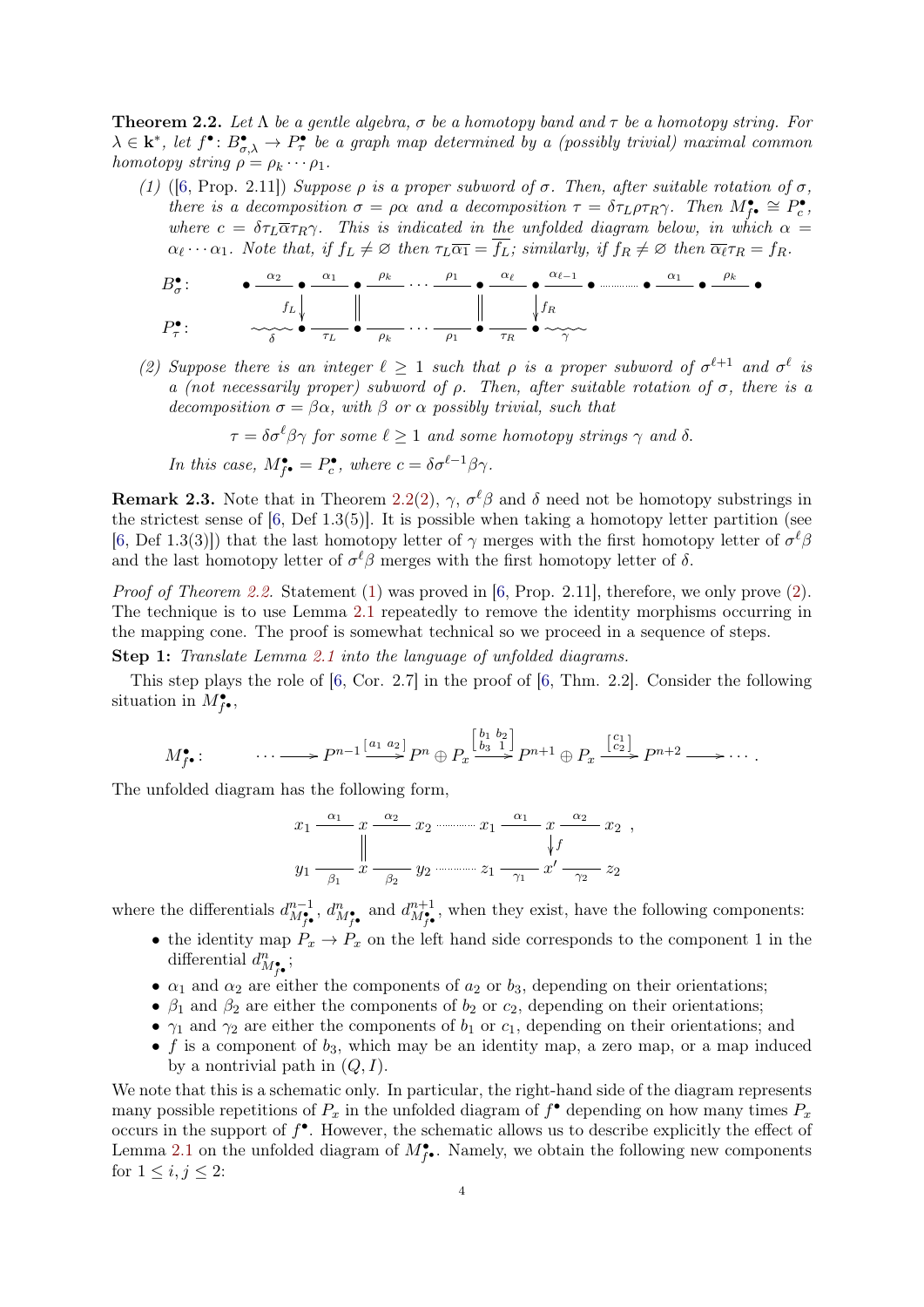<span id="page-3-0"></span>**Theorem 2.2.** Let  $\Lambda$  be a gentle algebra,  $\sigma$  be a homotopy band and  $\tau$  be a homotopy string. For  $\lambda \in \mathbf{k}^*,$  let  $f^{\bullet} : B^{\bullet}_{\sigma,\lambda} \to P^{\bullet}_{\tau}$  be a graph map determined by a (possibly trivial) maximal common homotopy string  $\rho = \rho_k \cdots \rho_1$ .

<span id="page-3-2"></span>(1) ([\[6,](#page-13-1) Prop. 2.11]) Suppose  $\rho$  is a proper subword of  $\sigma$ . Then, after suitable rotation of  $\sigma$ , there is a decomposition  $\sigma = \rho \alpha$  and a decomposition  $\tau = \delta \tau_L \rho \tau_R \gamma$ . Then  $M_{\tilde{f}^{\bullet}}^{\bullet} \cong P_c^{\bullet}$ , where  $c = \delta \tau_L \overline{\alpha} \tau_R \gamma$ . This is indicated in the unfolded diagram below, in which  $\alpha =$  $\alpha_{\ell} \cdots \alpha_1$ . Note that, if  $f_L \neq \emptyset$  then  $\tau_L \overline{\alpha_1} = \overline{f_L}$ ; similarly, if  $f_R \neq \emptyset$  then  $\overline{\alpha_{\ell}} \tau_R = f_R$ .

$$
B_{\sigma}^{\bullet}: \qquad \bullet \xrightarrow{\alpha_2} \bullet \xrightarrow{\alpha_1} \bullet \xrightarrow{\rho_k} \cdots \xrightarrow{\rho_1} \bullet \xrightarrow{\alpha_\ell} \bullet \xrightarrow{\alpha_{\ell-1}} \bullet \xrightarrow{\alpha_1} \bullet \xrightarrow{\rho_k} \bullet
$$

$$
P_{\tau}^{\bullet}: \qquad \searrow \bullet \xrightarrow{\tau_L} \bullet \xrightarrow{\rho_k} \cdots \xrightarrow{\rho_1} \bullet \xrightarrow{\tau_R} \bullet \sim \searrow \sim
$$

<span id="page-3-1"></span>(2) Suppose there is an integer  $\ell \geq 1$  such that  $\rho$  is a proper subword of  $\sigma^{\ell+1}$  and  $\sigma^{\ell}$  is a (not necessarily proper) subword of  $\rho$ . Then, after suitable rotation of  $\sigma$ , there is a decomposition  $\sigma = \beta \alpha$ , with  $\beta$  or  $\alpha$  possibly trivial, such that

 $\tau = \delta \sigma^{\ell} \beta \gamma$  for some  $\ell \geq 1$  and some homotopy strings  $\gamma$  and  $\delta$ .

In this case,  $M_{f^{\bullet}}^{\bullet} = P_c^{\bullet}$ , where  $c = \delta \sigma^{\ell-1} \beta \gamma$ .

**Remark 2.3.** Note that in Theorem [2.2\(](#page-3-0)[2\)](#page-3-1),  $\gamma$ ,  $\sigma^{\ell}\beta$  and  $\delta$  need not be homotopy substrings in the strictest sense of [\[6,](#page-13-1) Def 1.3(5)]. It is possible when taking a homotopy letter partition (see [\[6,](#page-13-1) Def 1.3(3)]) that the last homotopy letter of  $\gamma$  merges with the first homotopy letter of  $\sigma^{\ell}\beta$ and the last homotopy letter of  $\sigma^{\ell}\beta$  merges with the first homotopy letter of  $\delta$ .

*Proof of Theorem [2.2.](#page-3-0)* Statement [\(1\)](#page-3-2) was proved in [\[6,](#page-13-1) Prop. 2.11], therefore, we only prove [\(2\)](#page-3-1). The technique is to use Lemma [2.1](#page-2-2) repeatedly to remove the identity morphisms occurring in the mapping cone. The proof is somewhat technical so we proceed in a sequence of steps.

Step 1: Translate Lemma [2.1](#page-2-2) into the language of unfolded diagrams.

This step plays the role of [\[6,](#page-13-1) Cor. 2.7] in the proof of [\[6,](#page-13-1) Thm. 2.2]. Consider the following situation in  $M_{f^{\bullet}}^{\bullet}$ ,

$$
M_{f^{\bullet}}^{\bullet}:\qquad \cdots \longrightarrow P^{n-1} \stackrel{[a_1 \ a_2]}{\longrightarrow} P^n \oplus P_x \stackrel{[b_1 \ b_2]}{\longrightarrow} P^{n+1} \oplus P_x \stackrel{[c_1]}{\longrightarrow} P^{n+2} \longrightarrow \cdots.
$$

The unfolded diagram has the following form,

$$
x_1 \xrightarrow{\alpha_1} x \xrightarrow{\alpha_2} x_2 \xrightarrow{\alpha_1} x_1 \xrightarrow{\alpha_1} x \xrightarrow{\alpha_2} x_2 ,
$$
  
\n
$$
y_1 \xrightarrow{\beta_1} x \xrightarrow{\beta_2} y_2 \xrightarrow{\beta_2} x_1 \xrightarrow{\gamma_1} x' \xrightarrow{\gamma_2} z_2
$$

where the differentials  $d_{M_{f\bullet}^*}^{n-1}$ ,  $d_{M_{f\bullet}^*}^n$  and  $d_{M_{f\bullet}^*}^{n+1}$ , when they exist, have the following components:

- the identity map  $P_x \to P_x$  on the left hand side corresponds to the component 1 in the differential  $d_{M_{f^{\bullet}}}^{n}$ ;
- $\alpha_1$  and  $\alpha_2$  are either the components of  $a_2$  or  $b_3$ , depending on their orientations;
- $\beta_1$  and  $\beta_2$  are either the components of  $b_2$  or  $c_2$ , depending on their orientations;
- $\gamma_1$  and  $\gamma_2$  are either the components of  $b_1$  or  $c_1$ , depending on their orientations; and
- f is a component of  $b_3$ , which may be an identity map, a zero map, or a map induced by a nontrivial path in  $(Q, I)$ .

We note that this is a schematic only. In particular, the right-hand side of the diagram represents many possible repetitions of  $P_x$  in the unfolded diagram of  $f^{\bullet}$  depending on how many times  $P_x$ occurs in the support of  $f^{\bullet}$ . However, the schematic allows us to describe explicitly the effect of Lemma [2.1](#page-2-2) on the unfolded diagram of  $M_{f^{\bullet}}^{\bullet}$ . Namely, we obtain the following new components for  $1 \leq i, j \leq 2$ :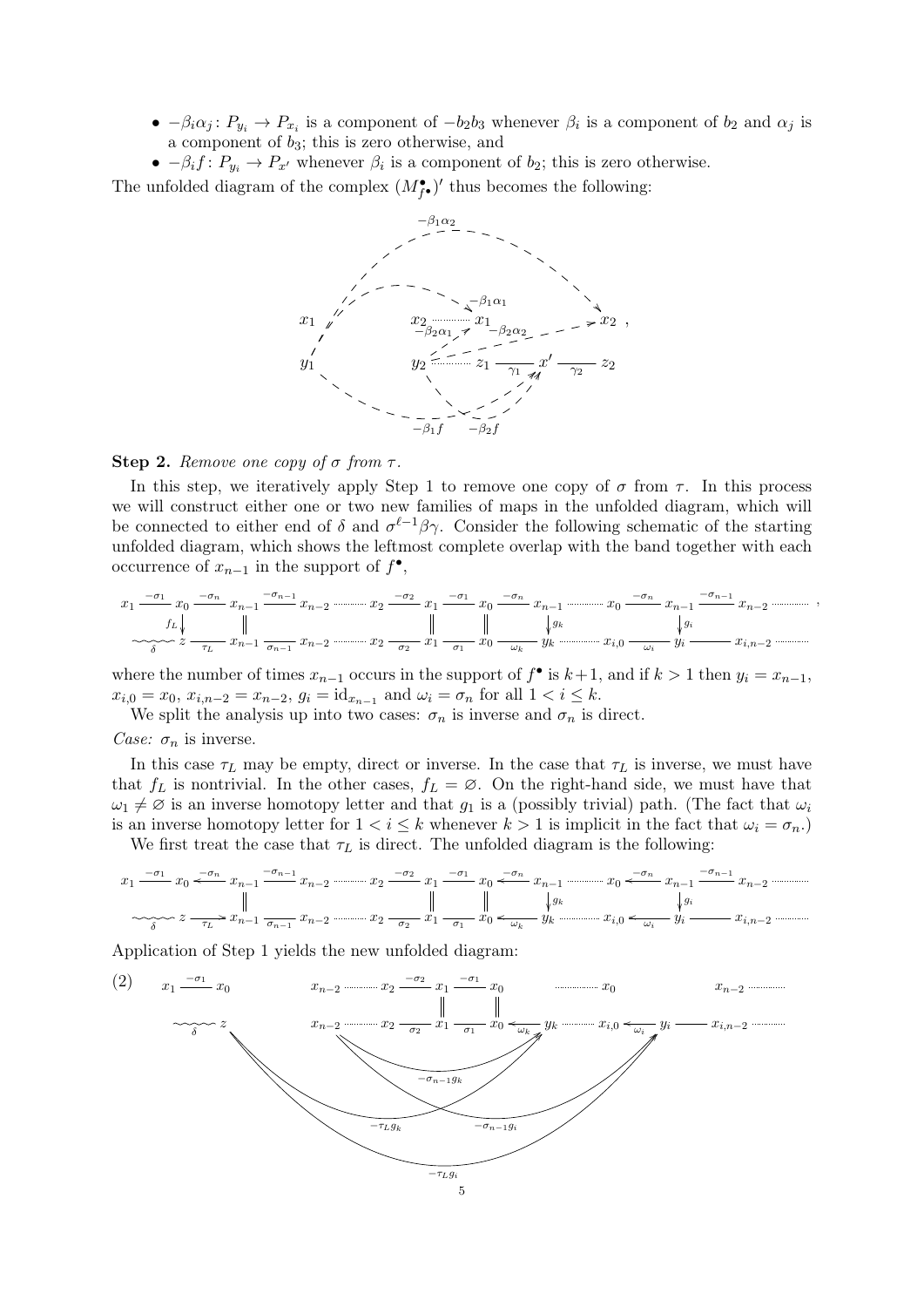- $-\beta_i \alpha_j : P_{y_i} \to P_{x_i}$  is a component of  $-b_2b_3$  whenever  $\beta_i$  is a component of  $b_2$  and  $\alpha_j$  is a component of  $b_3$ ; this is zero otherwise, and
- $-\beta_i f: P_{y_i} \to P_{x'}$  whenever  $\beta_i$  is a component of  $b_2$ ; this is zero otherwise.

The unfolded diagram of the complex  $(M_{f\bullet}^{\bullet})'$  thus becomes the following:



### Step 2. Remove one copy of  $\sigma$  from  $\tau$ .

In this step, we iteratively apply Step 1 to remove one copy of  $\sigma$  from  $\tau$ . In this process we will construct either one or two new families of maps in the unfolded diagram, which will be connected to either end of  $\delta$  and  $\sigma^{\ell-1}\beta\gamma$ . Consider the following schematic of the starting unfolded diagram, which shows the leftmost complete overlap with the band together with each occurrence of  $x_{n-1}$  in the support of  $f^{\bullet}$ ,

x1 −σ<sup>1</sup> x0 −σ<sup>n</sup> f<sup>L</sup> xn−<sup>1</sup> −σn−<sup>1</sup> xn−<sup>2</sup> x<sup>2</sup> −σ<sup>2</sup> x1 −σ<sup>1</sup> x0 −σ<sup>n</sup> xn−<sup>1</sup> gk x0 −σ<sup>n</sup> xn−<sup>1</sup> gi −σn−<sup>1</sup> xn−<sup>2</sup> δ z τ<sup>L</sup> xn−<sup>1</sup> <sup>σ</sup>n−<sup>1</sup> xn−<sup>2</sup> x<sup>2</sup> <sup>σ</sup><sup>2</sup> x<sup>1</sup> <sup>σ</sup><sup>1</sup> x<sup>0</sup> <sup>ω</sup><sup>k</sup> y<sup>k</sup> xi,<sup>0</sup> <sup>ω</sup><sup>i</sup> y<sup>i</sup> xi,n−<sup>2</sup>

,

where the number of times  $x_{n-1}$  occurs in the support of  $f^{\bullet}$  is  $k+1$ , and if  $k>1$  then  $y_i = x_{n-1}$ ,  $x_{i,0} = x_0, x_{i,n-2} = x_{n-2}, g_i = id_{x_{n-1}}$  and  $\omega_i = \sigma_n$  for all  $1 < i \leq k$ .

We split the analysis up into two cases:  $\sigma_n$  is inverse and  $\sigma_n$  is direct.

### Case:  $\sigma_n$  is inverse.

In this case  $\tau_L$  may be empty, direct or inverse. In the case that  $\tau_L$  is inverse, we must have that  $f_L$  is nontrivial. In the other cases,  $f_L = \emptyset$ . On the right-hand side, we must have that  $\omega_1 \neq \emptyset$  is an inverse homotopy letter and that  $g_1$  is a (possibly trivial) path. (The fact that  $\omega_i$ is an inverse homotopy letter for  $1 < i \leq k$  whenever  $k > 1$  is implicit in the fact that  $\omega_i = \sigma_n$ .

We first treat the case that  $\tau_L$  is direct. The unfolded diagram is the following:

$$
x_1 \xrightarrow{-\sigma_1} x_0 \xleftarrow{-\sigma_n} x_{n-1} \xrightarrow{-\sigma_{n-1}} x_{n-2} \xrightarrow{-\sigma_2} x_1 \xrightarrow{-\sigma_1} x_0 \xleftarrow{-\sigma_n} x_{n-1} \xrightarrow{-\sigma_n} x_{n-1} \xrightarrow{-\sigma_n} x_{n-1} \xrightarrow{-\sigma_{n-1}} x_{n-2} \xrightarrow{-\sigma_{n-1}} x_{n-2} \xrightarrow{\sigma_n} x_1 \xrightarrow{\sigma_n} x_0 \xleftarrow{\sigma_n} x_{n-1} \xrightarrow{\sigma_n} x_0 \xleftarrow{\sigma_n} x_0 \xleftarrow{\sigma_n} x_0 \xleftarrow{\sigma_n} x_0 \xleftarrow{\sigma_n} x_0 \xleftarrow{\sigma_n} x_0 \xleftarrow{\sigma_n} x_0 \xleftarrow{\sigma_n} x_0 \xleftarrow{\sigma_n} x_0 \xleftarrow{\sigma_n} x_0 \xleftarrow{\sigma_n} x_0 \xleftarrow{\sigma_n} x_0 \xleftarrow{\sigma_n} x_0 \xleftarrow{\sigma_n} x_0 \xleftarrow{\sigma_n} x_0 \xleftarrow{\sigma_n} x_0 \xleftarrow{\sigma_n} x_0 \xleftarrow{\sigma_n} x_0 \xleftarrow{\sigma_n} x_0 \xleftarrow{\sigma_n} x_0 \xleftarrow{\sigma_n} x_0 \xleftarrow{\sigma_n} x_0 \xleftarrow{\sigma_n} x_0 \xleftarrow{\sigma_n} x_0 \xleftarrow{\sigma_n} x_0 \xleftarrow{\sigma_n} x_0 \xleftarrow{\sigma_n} x_0 \xleftarrow{\sigma_n} x_0 \xleftarrow{\sigma_n} x_0 \xleftarrow{\sigma_n} x_0 \xleftarrow{\sigma_n} x_0 \xleftarrow{\sigma_n} x_0 \xleftarrow{\sigma_n} x_0 \xleftarrow{\sigma_n} x_0 \xleftarrow{\sigma_n} x_0 \xleftarrow{\sigma_n} x_0 \xleftarrow{\sigma_n} x_0 \xleftarrow{\sigma_n} x_0 \xleftarrow{\sigma_n} x_0 \xleftarrow{\sigma_n} x_0 \xleftarrow{\sigma_n} x_0 \xleftarrow{\sigma_n} x_0 \xleftarrow{\sigma_n} x_0 \xleftarrow{\sigma_n} x_0 \xleftarrow{\sigma_n} x_0 \xleftarrow{\sigma_n} x_0 \xleftarrow{\sigma_n} x_0 \xleftarrow{\sigma_n} x_0 \xleftarrow{\sigma_n} x_0 \xleftarrow{\sigma_n} x_0 \xleftarrow{\sigma_n} x_0 \xleftarrow{\sigma_n} x_0 \xleftarrow{\sigma
$$

<span id="page-4-0"></span>Application of Step 1 yields the new unfolded diagram:

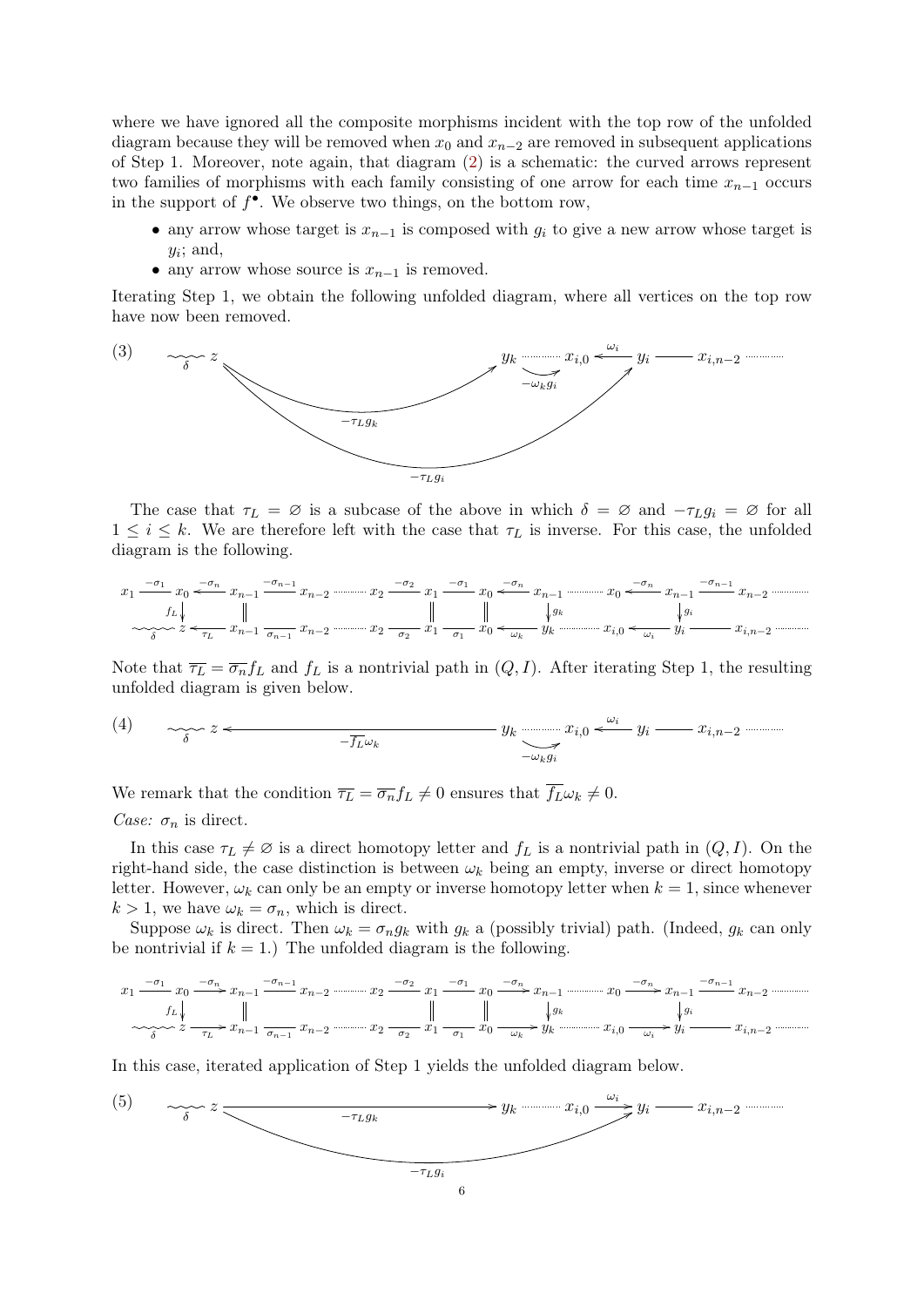where we have ignored all the composite morphisms incident with the top row of the unfolded diagram because they will be removed when  $x_0$  and  $x_{n-2}$  are removed in subsequent applications of Step 1. Moreover, note again, that diagram [\(2\)](#page-4-0) is a schematic: the curved arrows represent two families of morphisms with each family consisting of one arrow for each time  $x_{n-1}$  occurs in the support of  $f^{\bullet}$ . We observe two things, on the bottom row,

- any arrow whose target is  $x_{n-1}$  is composed with  $q_i$  to give a new arrow whose target is  $y_i$ ; and,
- any arrow whose source is  $x_{n-1}$  is removed.

Iterating Step 1, we obtain the following unfolded diagram, where all vertices on the top row have now been removed.

<span id="page-5-0"></span>

The case that  $\tau_L = \emptyset$  is a subcase of the above in which  $\delta = \emptyset$  and  $-\tau_L g_i = \emptyset$  for all  $1 \leq i \leq k$ . We are therefore left with the case that  $\tau_L$  is inverse. For this case, the unfolded diagram is the following.

$$
x_1 - \frac{\sigma_1}{\sigma_1} x_0 \xrightarrow{\sigma_1} x_{n-1} - \frac{\sigma_{n-1}}{\sigma_{n-1}} x_{n-2} \xrightarrow{\sigma_2} x_1 - \frac{\sigma_1}{\sigma_2} x_0 \xrightarrow{\sigma_n} x_{n-1} \xrightarrow{\sigma_{n-1}} x_{n-1} - \frac{\sigma_{n-1}}{\sigma_{n-1}} x_{n-2} \xrightarrow{\sigma_n} x_{n-1} - \frac{\sigma_{n-1}}{\sigma_{n-1}} x_{n-2} \xrightarrow{\sigma_n} x_1 - \frac{\sigma_2}{\sigma_2} x_1 \xrightarrow{\sigma_n} x_0 \xleftarrow{\sigma_n} x_0 \xleftarrow{\sigma_n} x_0 \xleftarrow{\sigma_n} x_0 \xleftarrow{\sigma_n} x_0 \xleftarrow{\sigma_n} x_0 \xleftarrow{\sigma_n} x_0 \xleftarrow{\sigma_n} x_0 \xleftarrow{\sigma_n} x_0 \xleftarrow{\sigma_n} x_0 \xleftarrow{\sigma_n} x_0 \xleftarrow{\sigma_n} x_0 \xleftarrow{\sigma_n} x_0 \xleftarrow{\sigma_n} x_0 \xleftarrow{\sigma_n} x_0 \xleftarrow{\sigma_n} x_0 \xleftarrow{\sigma_n} x_0 \xleftarrow{\sigma_n} x_0 \xleftarrow{\sigma_n} x_0 \xleftarrow{\sigma_n} x_0 \xleftarrow{\sigma_n} x_0 \xleftarrow{\sigma_n} x_0 \xleftarrow{\sigma_n} x_0 \xleftarrow{\sigma_n} x_0 \xleftarrow{\sigma_n} x_0 \xleftarrow{\sigma_n} x_0 \xleftarrow{\sigma_n} x_0 \xleftarrow{\sigma_n} x_0 \xleftarrow{\sigma_n} x_0 \xleftarrow{\sigma_n} x_0 \xleftarrow{\sigma_n} x_0 \xleftarrow{\sigma_n} x_0 \xleftarrow{\sigma_n} x_0 \xleftarrow{\sigma_n} x_0 \xleftarrow{\sigma_n} x_0 \xleftarrow{\sigma_n} x_0 \xleftarrow{\sigma_n} x_0 \xleftarrow{\sigma_n} x_0 \xleftarrow{\sigma_n} x_0 \xleftarrow{\sigma_n} x_0 \xleftarrow{\sigma_n} x_0 \xleftarrow{\sigma_n} x_0 \xleftarrow{\sigma_n} x_0 \xleftarrow{\sigma_n} x_0 \xleftarrow{\sigma_n} x_0 \xleftarrow{\sigma_n} x_0 \xleftarrow{\sigma_n} x_0 \xleftarrow{\sigma_n} x_0 \xleftarrow{\sigma_n} x_0 \xleftarrow{\sigma_n} x_0 \xleftarrow{\sigma_n} x_0 \x
$$

Note that  $\overline{\tau_L} = \overline{\sigma_n} f_L$  and  $f_L$  is a nontrivial path in  $(Q, I)$ . After iterating Step 1, the resulting unfolded diagram is given below.

<span id="page-5-1"></span>(4) 
$$
\sum_{\delta} z \leftarrow \overline{f_{L} \omega_{k}} \qquad \qquad y_{k} \longrightarrow x_{i,0} \leftarrow \omega_{i} \qquad x_{i,n-2} \dots
$$

We remark that the condition  $\overline{\tau_L} = \overline{\sigma_n} f_L \neq 0$  ensures that  $\overline{f_L} \omega_k \neq 0$ .

Case:  $\sigma_n$  is direct.

In this case  $\tau_L \neq \emptyset$  is a direct homotopy letter and  $f_L$  is a nontrivial path in  $(Q, I)$ . On the right-hand side, the case distinction is between  $\omega_k$  being an empty, inverse or direct homotopy letter. However,  $\omega_k$  can only be an empty or inverse homotopy letter when  $k = 1$ , since whenever  $k > 1$ , we have  $\omega_k = \sigma_n$ , which is direct.

Suppose  $\omega_k$  is direct. Then  $\omega_k = \sigma_n g_k$  with  $g_k$  a (possibly trivial) path. (Indeed,  $g_k$  can only be nontrivial if  $k = 1$ .) The unfolded diagram is the following.

x1 −σ<sup>1</sup> x0 <sup>−</sup>σ<sup>n</sup> / f<sup>L</sup> xn−<sup>1</sup> −σn−<sup>1</sup> xn−<sup>2</sup> x<sup>2</sup> −σ<sup>2</sup> x1 −σ<sup>1</sup> x0 <sup>−</sup>σ<sup>n</sup> /xn−<sup>1</sup> gk x0 <sup>−</sup>σ<sup>n</sup> /xn−<sup>1</sup> gi −σn−<sup>1</sup> xn−<sup>2</sup> δ z τ<sup>L</sup> /xn−<sup>1</sup> <sup>σ</sup>n−<sup>1</sup> xn−<sup>2</sup> x<sup>2</sup> <sup>σ</sup><sup>2</sup> x<sup>1</sup> <sup>σ</sup><sup>1</sup> x<sup>0</sup> <sup>ω</sup><sup>k</sup> /y<sup>k</sup> xi,<sup>0</sup> <sup>ω</sup><sup>i</sup> /y<sup>i</sup> xi,n−<sup>2</sup>

<span id="page-5-2"></span>In this case, iterated application of Step 1 yields the unfolded diagram below.

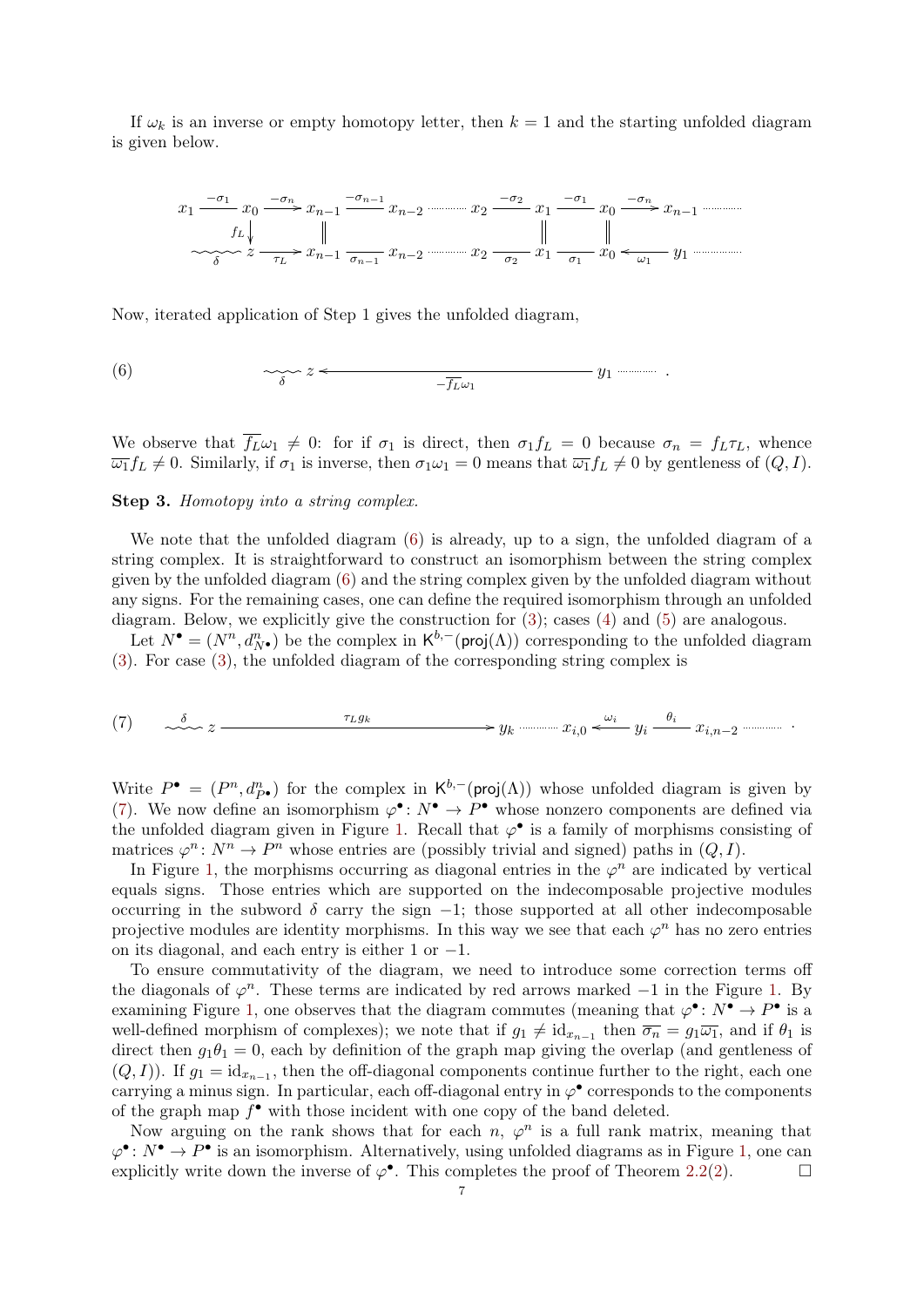If  $\omega_k$  is an inverse or empty homotopy letter, then  $k = 1$  and the starting unfolded diagram is given below.



Now, iterated application of Step 1 gives the unfolded diagram,

<span id="page-6-0"></span>(6) 
$$
\sim \zeta \sim z \leftarrow \frac{1}{-\overline{f_L}\omega_1} \qquad y_1 \cdots \cdots \cdots
$$

We observe that  $\overline{f_L}\omega_1 \neq 0$ : for if  $\sigma_1$  is direct, then  $\sigma_1 f_L = 0$  because  $\sigma_n = f_L \tau_L$ , whence  $\overline{\omega_1} f_L \neq 0$ . Similarly, if  $\sigma_1$  is inverse, then  $\sigma_1 \omega_1 = 0$  means that  $\overline{\omega_1} f_L \neq 0$  by gentleness of  $(Q, I)$ .

# Step 3. Homotopy into a string complex.

We note that the unfolded diagram [\(6\)](#page-6-0) is already, up to a sign, the unfolded diagram of a string complex. It is straightforward to construct an isomorphism between the string complex given by the unfolded diagram [\(6\)](#page-6-0) and the string complex given by the unfolded diagram without any signs. For the remaining cases, one can define the required isomorphism through an unfolded diagram. Below, we explicitly give the construction for  $(3)$ ; cases  $(4)$  and  $(5)$  are analogous.

Let  $N^{\bullet} = (N^n, d_{N^{\bullet}}^n)$  be the complex in  $\mathsf{K}^{b,-}(\mathsf{proj}(\Lambda))$  corresponding to the unfolded diagram [\(3\)](#page-5-0). For case [\(3\)](#page-5-0), the unfolded diagram of the corresponding string complex is

<span id="page-6-1"></span>
$$
(7) \qquad \underset{\sim \sim} \delta \qquad \qquad \tau_{Lg_k} \qquad \qquad \longrightarrow y_k \qquad \qquad x_{i,0} \overset{\omega_i}{\longleftarrow} y_i \overset{\theta_i}{\longrightarrow} x_{i,n-2} \qquad \qquad \cdots \qquad \qquad
$$

Write  $P^{\bullet} = (P^n, d_{P^{\bullet}}^n)$  for the complex in  $\mathsf{K}^{b,-}(\mathsf{proj}(\Lambda))$  whose unfolded diagram is given by [\(7\)](#page-6-1). We now define an isomorphism  $\varphi^{\bullet} : N^{\bullet} \to P^{\bullet}$  whose nonzero components are defined via the unfolded diagram given in Figure [1.](#page-7-1) Recall that  $\varphi^{\bullet}$  is a family of morphisms consisting of matrices  $\varphi^n: N^n \to P^n$  whose entries are (possibly trivial and signed) paths in  $(Q, I)$ .

In Figure [1,](#page-7-1) the morphisms occurring as diagonal entries in the  $\varphi^n$  are indicated by vertical equals signs. Those entries which are supported on the indecomposable projective modules occurring in the subword  $\delta$  carry the sign  $-1$ ; those supported at all other indecomposable projective modules are identity morphisms. In this way we see that each  $\varphi^n$  has no zero entries on its diagonal, and each entry is either 1 or −1.

To ensure commutativity of the diagram, we need to introduce some correction terms off the diagonals of  $\varphi^n$ . These terms are indicated by red arrows marked  $-1$  in the Figure [1.](#page-7-1) By examining Figure [1,](#page-7-1) one observes that the diagram commutes (meaning that  $\varphi^{\bullet} \colon N^{\bullet} \to P^{\bullet}$  is a well-defined morphism of complexes); we note that if  $g_1 \neq id_{x_{n-1}}$  then  $\overline{\sigma_n} = g_1 \overline{\omega_1}$ , and if  $\theta_1$  is direct then  $g_1\theta_1 = 0$ , each by definition of the graph map giving the overlap (and gentleness of  $(Q, I)$ ). If  $g_1 = id_{x_{n-1}}$ , then the off-diagonal components continue further to the right, each one carrying a minus sign. In particular, each off-diagonal entry in  $\varphi^{\bullet}$  corresponds to the components of the graph map  $f^{\bullet}$  with those incident with one copy of the band deleted.

Now arguing on the rank shows that for each  $n, \varphi^n$  is a full rank matrix, meaning that  $\varphi^{\bullet} \colon N^{\bullet} \to P^{\bullet}$  is an isomorphism. Alternatively, using unfolded diagrams as in Figure [1,](#page-7-1) one can explicitly write down the inverse of  $\varphi^{\bullet}$ . This completes the proof of Theorem [2.2\(](#page-3-0)[2\)](#page-3-1).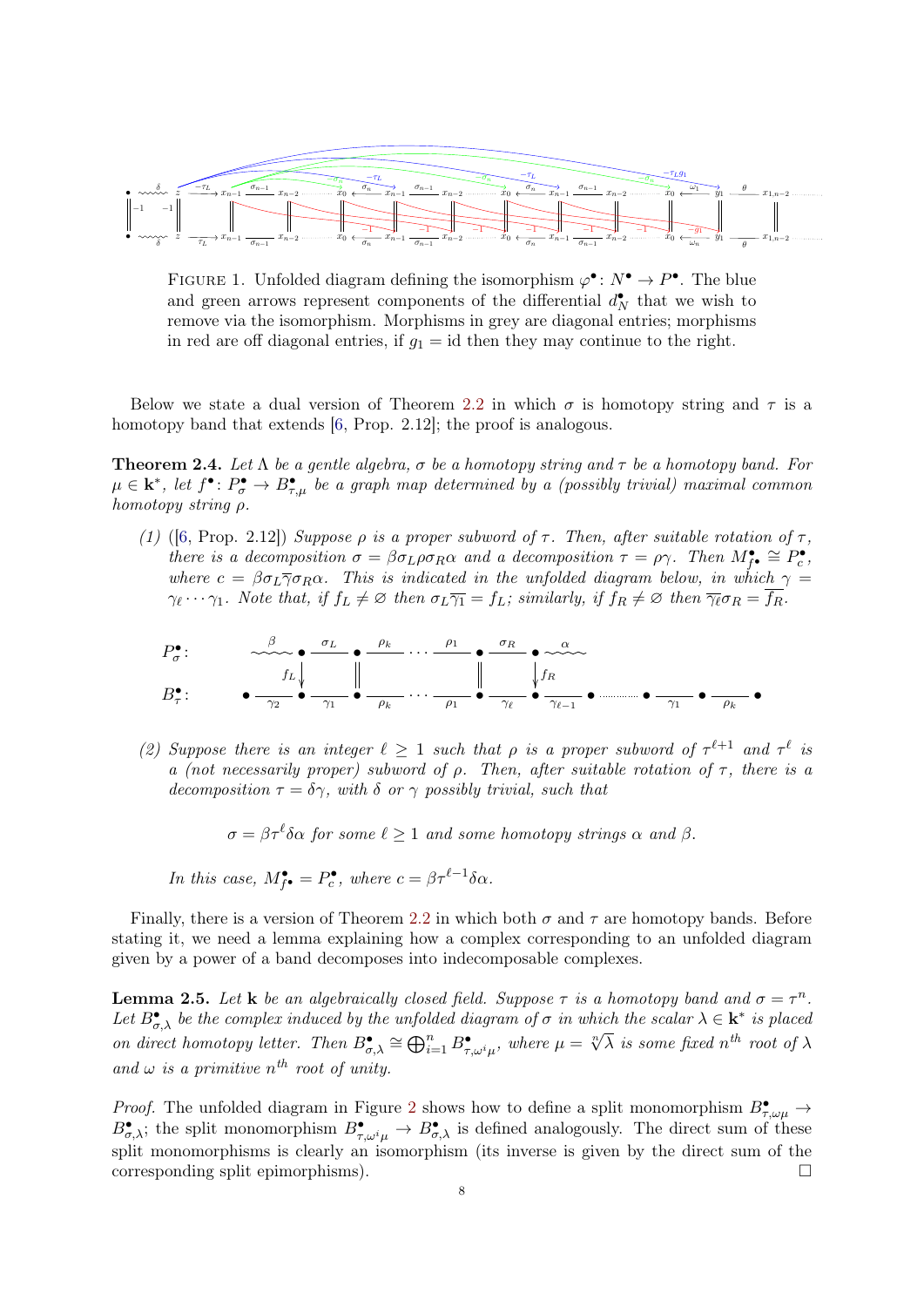

<span id="page-7-1"></span>FIGURE 1. Unfolded diagram defining the isomorphism  $\varphi^{\bullet} : N^{\bullet} \to P^{\bullet}$ . The blue and green arrows represent components of the differential  $d_N^{\bullet}$  that we wish to remove via the isomorphism. Morphisms in grey are diagonal entries; morphisms in red are off diagonal entries, if  $g_1 = id$  then they may continue to the right.

Below we state a dual version of Theorem [2.2](#page-3-0) in which  $\sigma$  is homotopy string and  $\tau$  is a homotopy band that extends [\[6,](#page-13-1) Prop. 2.12]; the proof is analogous.

**Theorem 2.4.** Let  $\Lambda$  be a gentle algebra,  $\sigma$  be a homotopy string and  $\tau$  be a homotopy band. For  $\mu \in \mathbf{k}^*,$  let  $f^{\bullet} \colon P_{\sigma}^{\bullet} \to B_{\tau,\mu}^{\bullet}$  be a graph map determined by a (possibly trivial) maximal common homotopy string ρ.

(1) ([\[6,](#page-13-1) Prop. 2.12]) Suppose  $\rho$  is a proper subword of  $\tau$ . Then, after suitable rotation of  $\tau$ , there is a decomposition  $\sigma = \beta \sigma_L \rho \sigma_R \alpha$  and a decomposition  $\tau = \rho \gamma$ . Then  $M_{\tilde{f}^{\bullet}}^{\bullet} \cong P_c^{\bullet}$ , where  $c = \beta \sigma_L \overline{\gamma} \sigma_R \alpha$ . This is indicated in the unfolded diagram below, in which  $\gamma = c$ .  $\gamma_{\ell} \cdots \gamma_1$ . Note that, if  $f_L \neq \emptyset$  then  $\sigma_L \overline{\gamma_1} = f_L$ ; similarly, if  $f_R \neq \emptyset$  then  $\overline{\gamma_{\ell}} \sigma_R = \overline{f_R}$ .



(2) Suppose there is an integer  $\ell \geq 1$  such that  $\rho$  is a proper subword of  $\tau^{\ell+1}$  and  $\tau^{\ell}$  is a (not necessarily proper) subword of  $\rho$ . Then, after suitable rotation of  $\tau$ , there is a decomposition  $\tau = \delta \gamma$ , with  $\delta$  or  $\gamma$  possibly trivial, such that

 $\sigma = \beta \tau^\ell \delta \alpha$  for some  $\ell \geq 1$  and some homotopy strings  $\alpha$  and  $\beta$ .

In this case, 
$$
M_{f^{\bullet}}^{\bullet} = P_c^{\bullet}
$$
, where  $c = \beta \tau^{\ell-1} \delta \alpha$ .

Finally, there is a version of Theorem [2.2](#page-3-0) in which both  $\sigma$  and  $\tau$  are homotopy bands. Before stating it, we need a lemma explaining how a complex corresponding to an unfolded diagram given by a power of a band decomposes into indecomposable complexes.

<span id="page-7-0"></span>**Lemma 2.5.** Let **k** be an algebraically closed field. Suppose  $\tau$  is a homotopy band and  $\sigma = \tau^n$ . Let  $B_{\sigma,\lambda}^{\bullet}$  be the complex induced by the unfolded diagram of  $\sigma$  in which the scalar  $\lambda \in \mathbf{k}^*$  is placed Let  $D_{\sigma,\lambda}$  be the complex matrica by the ampoiacle diagram by  $\sigma$  in anten the scalar  $\lambda \subset \mathbb{R}^n$  is placed<br>on direct homotopy letter. Then  $B_{\sigma,\lambda}^{\bullet} \cong \bigoplus_{i=1}^n B_{\tau,\omega^i\mu}^{\bullet}$ , where  $\mu = \sqrt[n]{\lambda}$  is some fix and  $\omega$  is a primitive  $n^{th}$  root of unity.

*Proof.* The unfolded diagram in Figure [2](#page-8-0) shows how to define a split monomorphism  $B^{\bullet}_{\tau,\omega\mu} \to$  $B_{\sigma,\lambda}^{\bullet}$ ; the split monomorphism  $B_{\tau,\omega^i\mu}^{\bullet} \to B_{\sigma,\lambda}^{\bullet}$  is defined analogously. The direct sum of these split monomorphisms is clearly an isomorphism (its inverse is given by the direct sum of the corresponding split epimorphisms).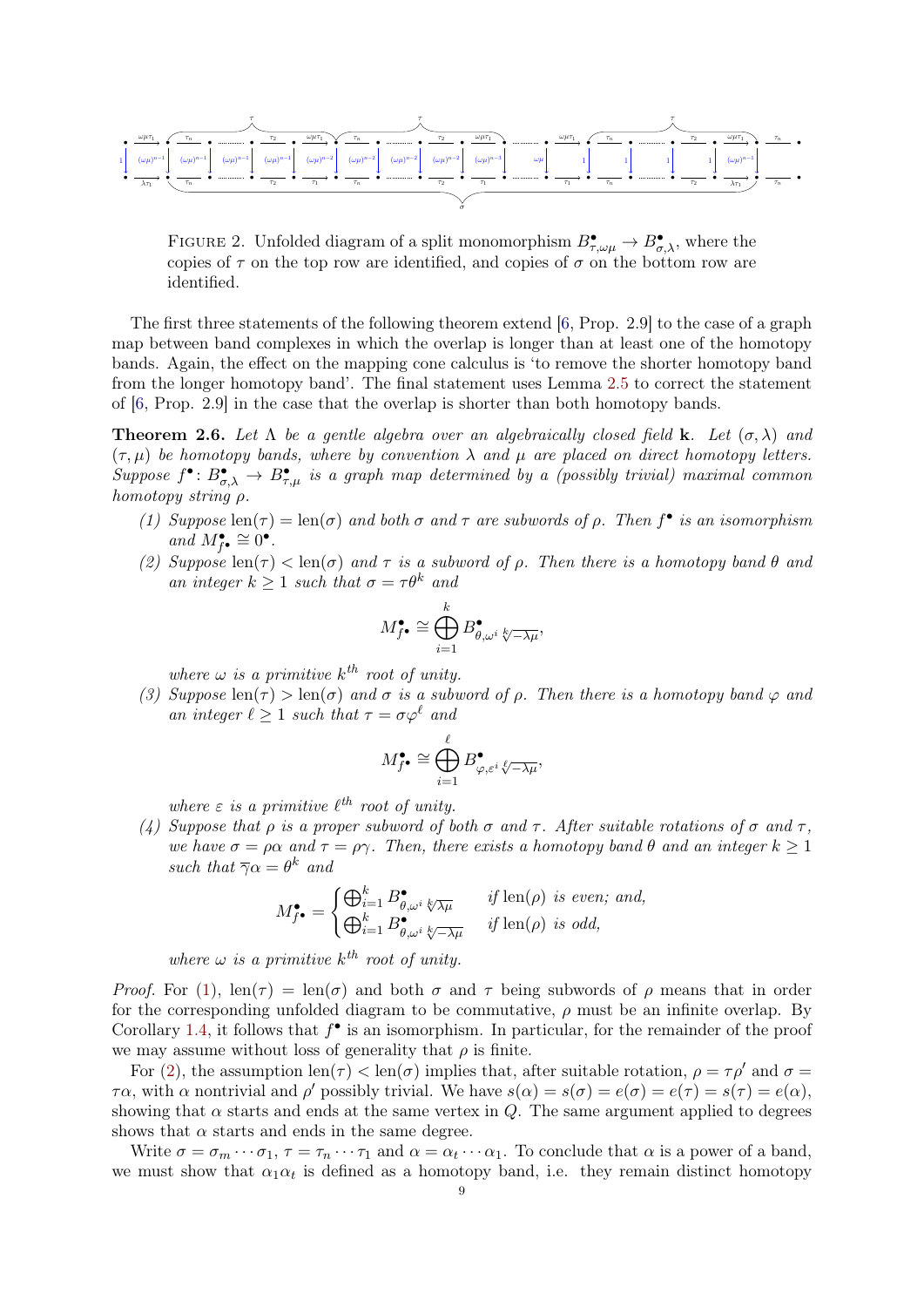

<span id="page-8-0"></span>FIGURE 2. Unfolded diagram of a split monomorphism  $B^{\bullet}_{\tau,\omega\mu} \to B^{\bullet}_{\sigma,\lambda}$ , where the copies of  $\tau$  on the top row are identified, and copies of  $\sigma$  on the bottom row are identified.

The first three statements of the following theorem extend [\[6,](#page-13-1) Prop. 2.9] to the case of a graph map between band complexes in which the overlap is longer than at least one of the homotopy bands. Again, the effect on the mapping cone calculus is 'to remove the shorter homotopy band from the longer homotopy band'. The final statement uses Lemma [2.5](#page-7-0) to correct the statement of [\[6,](#page-13-1) Prop. 2.9] in the case that the overlap is shorter than both homotopy bands.

<span id="page-8-5"></span>**Theorem 2.6.** Let  $\Lambda$  be a gentle algebra over an algebraically closed field **k**. Let  $(\sigma, \lambda)$  and  $(\tau, \mu)$  be homotopy bands, where by convention  $\lambda$  and  $\mu$  are placed on direct homotopy letters. Suppose  $f^{\bullet} \colon B^{\bullet}_{\sigma,\lambda} \to B^{\bullet}_{\tau,\mu}$  is a graph map determined by a (possibly trivial) maximal common homotopy string ρ.

- <span id="page-8-1"></span>(1) Suppose  $\text{len}(\tau) = \text{len}(\sigma)$  and both  $\sigma$  and  $\tau$  are subwords of  $\rho$ . Then  $f^{\bullet}$  is an isomorphism and  $M_{f^{\bullet}}^{\bullet} \cong 0^{\bullet}$ .
- <span id="page-8-2"></span>(2) Suppose  $\text{len}(\tau) < \text{len}(\sigma)$  and  $\tau$  is a subword of  $\rho$ . Then there is a homotopy band  $\theta$  and an integer  $k \geq 1$  such that  $\sigma = \tau \theta^k$  and

$$
M_{f^{\bullet}}^{\bullet} \cong \bigoplus_{i=1}^{k} B_{\theta,\omega^{i}}^{\bullet} \otimes_{\overline{\lambda\mu}},
$$

where  $\omega$  is a primitive  $k^{th}$  root of unity.

<span id="page-8-3"></span>(3) Suppose len(τ) > len(σ) and σ is a subword of  $\rho$ . Then there is a homotopy band  $\varphi$  and an integer  $\ell > 1$  such that  $\tau = \sigma \varphi^{\ell}$  and

$$
M^\bullet_{f^\bullet}\cong \bigoplus_{i=1}^\ell B^\bullet_{\varphi,\varepsilon^i\sqrt[\ell]{-\lambda\mu}},
$$

where  $\varepsilon$  is a primitive  $\ell^{th}$  root of unity.

<span id="page-8-4"></span>(4) Suppose that  $\rho$  is a proper subword of both  $\sigma$  and  $\tau$ . After suitable rotations of  $\sigma$  and  $\tau$ . we have  $\sigma = \rho \alpha$  and  $\tau = \rho \gamma$ . Then, there exists a homotopy band  $\theta$  and an integer  $k \geq 1$ such that  $\overline{\gamma}\alpha = \theta^k$  and

$$
M_{f^{\bullet}}^{\bullet} = \begin{cases} \bigoplus_{i=1}^{k} B_{\theta,\omega^{i}}^{\bullet} \sqrt[k]{\lambda\mu} & \text{if } \text{len}(\rho) \text{ is even; and,} \\ \bigoplus_{i=1}^{k} B_{\theta,\omega^{i}}^{\bullet} \sqrt[k]{-\lambda\mu} & \text{if } \text{len}(\rho) \text{ is odd,} \end{cases}
$$

where  $\omega$  is a primitive  $k^{th}$  root of unity.

Proof. For [\(1\)](#page-8-1), len( $\tau$ ) = len( $\sigma$ ) and both  $\sigma$  and  $\tau$  being subwords of  $\rho$  means that in order for the corresponding unfolded diagram to be commutative,  $\rho$  must be an infinite overlap. By Corollary [1.4,](#page-2-1) it follows that  $f^{\bullet}$  is an isomorphism. In particular, for the remainder of the proof we may assume without loss of generality that  $\rho$  is finite.

For [\(2\)](#page-8-2), the assumption  $\text{len}(\tau) < \text{len}(\sigma)$  implies that, after suitable rotation,  $\rho = \tau \rho'$  and  $\sigma =$  $\tau\alpha$ , with  $\alpha$  nontrivial and  $\rho'$  possibly trivial. We have  $s(\alpha) = s(\sigma) = e(\sigma) = e(\tau) = s(\tau) = e(\alpha)$ , showing that  $\alpha$  starts and ends at the same vertex in Q. The same argument applied to degrees shows that  $\alpha$  starts and ends in the same degree.

Write  $\sigma = \sigma_m \cdots \sigma_1$ ,  $\tau = \tau_n \cdots \tau_1$  and  $\alpha = \alpha_t \cdots \alpha_1$ . To conclude that  $\alpha$  is a power of a band, we must show that  $\alpha_1 \alpha_t$  is defined as a homotopy band, i.e. they remain distinct homotopy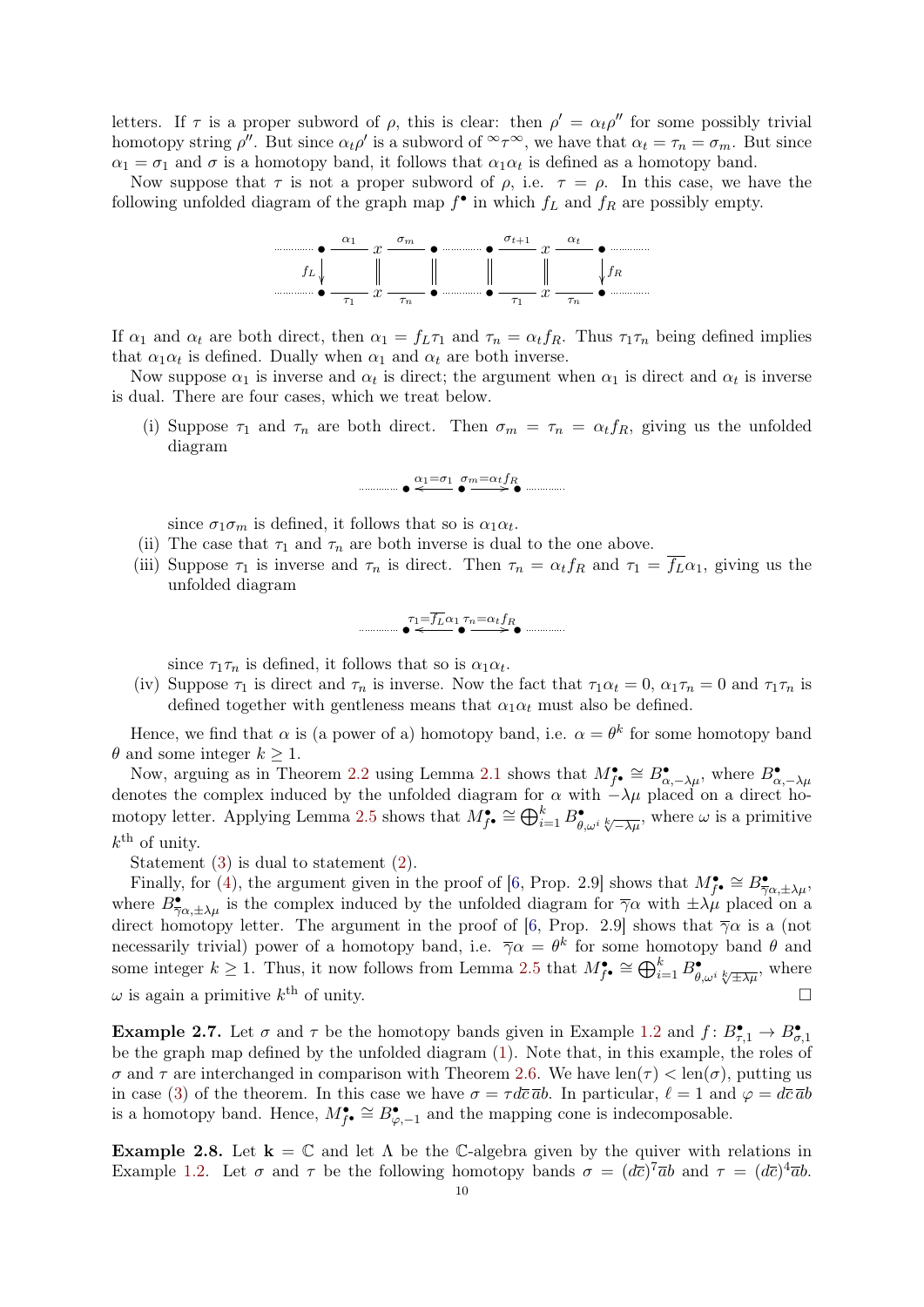letters. If  $\tau$  is a proper subword of  $\rho$ , this is clear: then  $\rho' = \alpha_t \rho''$  for some possibly trivial homotopy string  $\rho''$ . But since  $\alpha_t \rho'$  is a subword of  $\alpha_t \in \tau$ , we have that  $\alpha_t = \tau_n = \sigma_m$ . But since  $\alpha_1 = \sigma_1$  and  $\sigma$  is a homotopy band, it follows that  $\alpha_1 \alpha_t$  is defined as a homotopy band.

Now suppose that  $\tau$  is not a proper subword of  $\rho$ , i.e.  $\tau = \rho$ . In this case, we have the following unfolded diagram of the graph map  $f^{\bullet}$  in which  $f_L$  and  $f_R$  are possibly empty.



If  $\alpha_1$  and  $\alpha_t$  are both direct, then  $\alpha_1 = f_L \tau_1$  and  $\tau_n = \alpha_t f_R$ . Thus  $\tau_1 \tau_n$  being defined implies that  $\alpha_1 \alpha_t$  is defined. Dually when  $\alpha_1$  and  $\alpha_t$  are both inverse.

Now suppose  $\alpha_1$  is inverse and  $\alpha_t$  is direct; the argument when  $\alpha_1$  is direct and  $\alpha_t$  is inverse is dual. There are four cases, which we treat below.

(i) Suppose  $\tau_1$  and  $\tau_n$  are both direct. Then  $\sigma_m = \tau_n = \alpha_t f_R$ , giving us the unfolded diagram

$$
\bullet \stackrel{\alpha_1 = \sigma_1}{\longleftarrow} \bullet \stackrel{\sigma_m = \alpha_t f_R}{\longrightarrow} \bullet \stackrel{\dots}{\longrightarrow}
$$

since  $\sigma_1 \sigma_m$  is defined, it follows that so is  $\alpha_1 \alpha_t$ .

- (ii) The case that  $\tau_1$  and  $\tau_n$  are both inverse is dual to the one above.
- (iii) Suppose  $\tau_1$  is inverse and  $\tau_n$  is direct. Then  $\tau_n = \alpha_t f_R$  and  $\tau_1 = \overline{f_L} \alpha_1$ , giving us the unfolded diagram

$$
\overbrace{\bullet}^{\tau_1=\overline{f_L}\alpha_1} \overbrace{\bullet}^{\tau_n=\alpha_t f_R} \bullet
$$

since  $\tau_1 \tau_n$  is defined, it follows that so is  $\alpha_1 \alpha_t$ .

(iv) Suppose  $\tau_1$  is direct and  $\tau_n$  is inverse. Now the fact that  $\tau_1 \alpha_t = 0$ ,  $\alpha_1 \tau_n = 0$  and  $\tau_1 \tau_n$  is defined together with gentleness means that  $\alpha_1 \alpha_t$  must also be defined.

Hence, we find that  $\alpha$  is (a power of a) homotopy band, i.e.  $\alpha = \theta^k$  for some homotopy band  $\theta$  and some integer  $k \geq 1$ .

Now, arguing as in Theorem [2.2](#page-3-0) using Lemma [2.1](#page-2-2) shows that  $M_{f^{\bullet}}^{\bullet} \cong B_{\alpha,-\lambda\mu}^{\bullet}$ , where  $B_{\alpha,-\lambda\mu}^{\bullet}$ denotes the complex induced by the unfolded diagram for  $\alpha$  with  $-\lambda\mu$  placed on a direct ho-motopy letter. Applying Lemma [2.5](#page-7-0) shows that  $M_{f^{\bullet}}^{\bullet} \cong \bigoplus_{i=1}^{k} B_{\theta,\omega^i}^{\bullet} \otimes_{\sqrt{-\lambda\mu}}^{\bullet}$ , where  $\omega$  is a primitive  $k^{\text{th}}$  of unity.

Statement [\(3\)](#page-8-3) is dual to statement [\(2\)](#page-8-2).

Finally, for [\(4\)](#page-8-4), the argument given in the proof of [\[6,](#page-13-1) Prop. 2.9] shows that  $M_{\tilde{f}}^{\bullet} \cong B_{\overline{\gamma}\alpha,\pm\lambda\mu}^{\bullet}$ , where  $B^{\bullet}_{\overline{\gamma}\alpha,\pm\lambda\mu}$  is the complex induced by the unfolded diagram for  $\overline{\gamma}\alpha$  with  $\pm\lambda\mu$  placed on a direct homotopy letter. The argument in the proof of [\[6,](#page-13-1) Prop. 2.9] shows that  $\overline{\gamma}\alpha$  is a (not necessarily trivial) power of a homotopy band, i.e.  $\overline{\gamma}\alpha = \theta^k$  for some homotopy band  $\theta$  and some integer  $k \geq 1$ . Thus, it now follows from Lemma [2.5](#page-7-0) that  $M_{f^{\bullet}}^{\bullet} \cong \bigoplus_{i=1}^{k} B_{\theta,\omega^{i}}^{\bullet} \otimes_{\pm \lambda \mu^{i}}^{\bullet}$ , where  $\omega$  is again a primitive  $k^{\text{th}}$  of unity.

**Example 2.7.** Let  $\sigma$  and  $\tau$  be the homotopy bands given in Example [1.2](#page-1-2) and  $f: B^{\bullet}_{\tau,1} \to B^{\bullet}_{\sigma,1}$ be the graph map defined by the unfolded diagram [\(1\)](#page-1-3). Note that, in this example, the roles of  $\sigma$  and  $\tau$  are interchanged in comparison with Theorem [2.6.](#page-8-5) We have len( $\tau$ ) < len( $\sigma$ ), putting us in case [\(3\)](#page-8-3) of the theorem. In this case we have  $\sigma = \tau d\bar{c} \bar{a}b$ . In particular,  $\ell = 1$  and  $\varphi = d\bar{c} \bar{a}b$ is a homotopy band. Hence,  $M_{f^{\bullet}}^{\bullet} \cong B_{\varphi,-1}^{\bullet}$  and the mapping cone is indecomposable.

**Example 2.8.** Let  $\mathbf{k} = \mathbb{C}$  and let  $\Lambda$  be the C-algebra given by the quiver with relations in Example [1.2.](#page-1-2) Let  $\sigma$  and  $\tau$  be the following homotopy bands  $\sigma = (d\bar{c})^7 \bar{a}b$  and  $\tau = (d\bar{c})^4 \bar{a}b$ .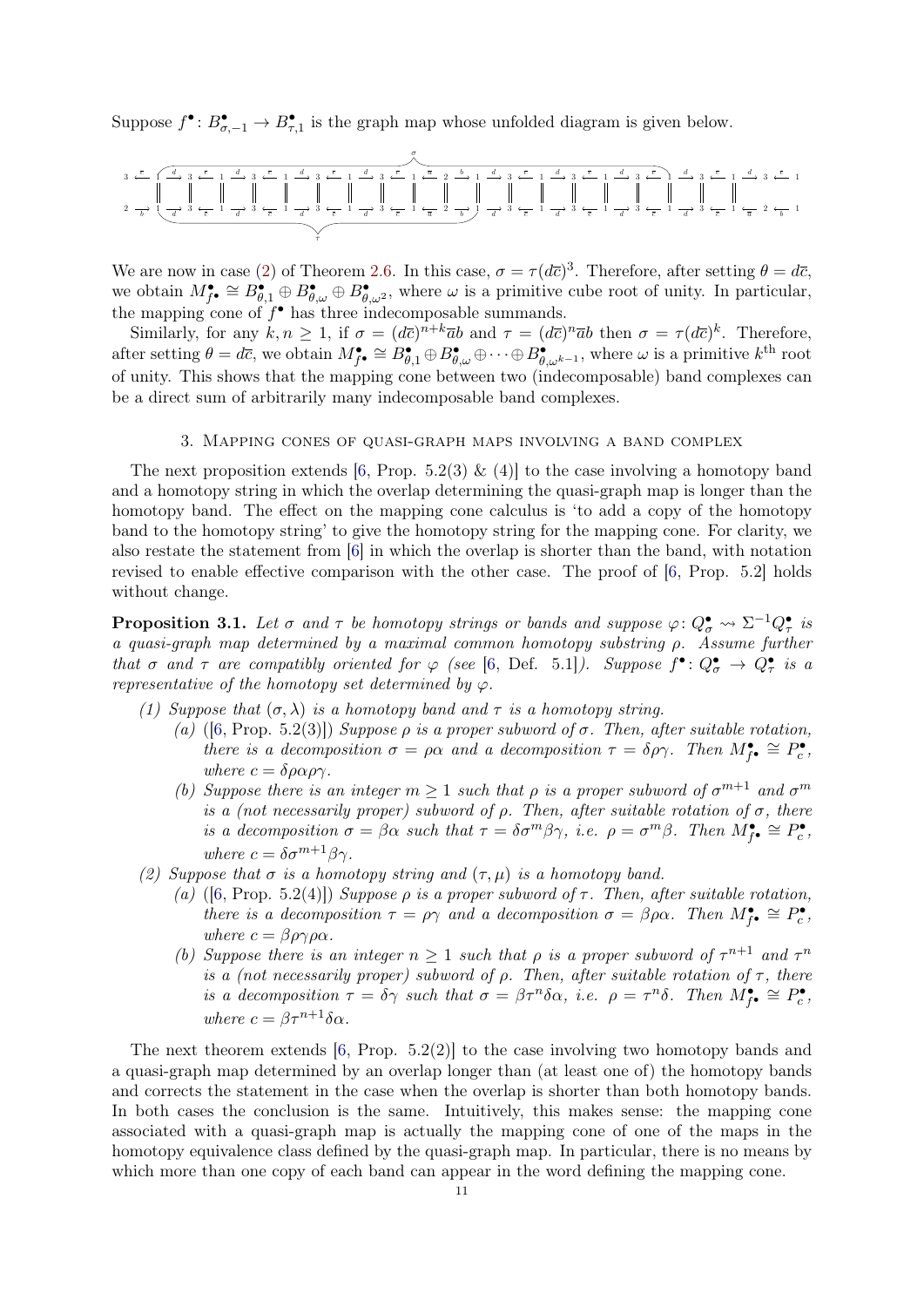Suppose  $f^{\bullet} : B^{\bullet}_{\sigma, -1} \to B^{\bullet}_{\tau, 1}$  is the graph map whose unfolded diagram is given below.

$$
\frac{3}{4} \leftarrow \frac{\frac{1}{2}}{\frac{1}{6} \left\{ \frac{1}{1} \frac{1}{1} \frac{1}{1} \frac{1}{1} \frac{1}{1} \frac{1}{1} \frac{1}{1} \frac{1}{1} \frac{1}{1} \frac{1}{1} \frac{1}{1} \frac{1}{1} \frac{1}{1} \frac{1}{1} \frac{1}{1} \frac{1}{1} \frac{1}{1} \frac{1}{1} \frac{1}{1} \frac{1}{1} \frac{1}{1} \frac{1}{1} \frac{1}{1} \frac{1}{1} \frac{1}{1} \frac{1}{1} \frac{1}{1} \frac{1}{1} \frac{1}{1} \frac{1}{1} \frac{1}{1} \frac{1}{1} \frac{1}{1} \frac{1}{1} \frac{1}{1} \frac{1}{1} \frac{1}{1} \frac{1}{1} \frac{1}{1} \frac{1}{1} \frac{1}{1} \frac{1}{1} \frac{1}{1} \frac{1}{1} \frac{1}{1} \frac{1}{1} \frac{1}{1} \frac{1}{1} \frac{1}{1} \frac{1}{1} \frac{1}{1} \frac{1}{1} \frac{1}{1} \frac{1}{1} \frac{1}{1} \frac{1}{1} \frac{1}{1} \frac{1}{1} \frac{1}{1} \frac{1}{1} \frac{1}{1} \frac{1}{1} \frac{1}{1} \frac{1}{1} \frac{1}{1} \frac{1}{1} \frac{1}{1} \frac{1}{1} \frac{1}{1} \frac{1}{1} \frac{1}{1} \frac{1}{1} \frac{1}{1} \frac{1}{1} \frac{1}{1} \frac{1}{1} \frac{1}{1} \frac{1}{1} \frac{1}{1} \frac{1}{1} \frac{1}{1} \frac{1}{1} \frac{1}{1} \frac{1}{1} \frac{1}{1} \frac{1}{1} \frac{1}{1} \frac{1}{1} \frac{1}{1} \frac{1}{1} \frac{1}{1} \frac{1}{1} \frac{1}{1} \frac{1}{1} \frac{1}{1} \frac{1}{1} \frac{1}{1} \frac{1}{1} \frac{1}{1} \frac{1}{1} \frac{1}{1} \frac{1}{1} \frac{1}{1} \frac{1}{1} \frac
$$

We are now in case [\(2\)](#page-8-2) of Theorem [2.6.](#page-8-5) In this case,  $\sigma = \tau (d\bar{c})^3$ . Therefore, after setting  $\theta = d\bar{c}$ , we obtain  $M_{f^{\bullet}}^{\bullet} \cong B_{\theta,1}^{\bullet} \oplus B_{\theta,\omega}^{\bullet} \oplus B_{\theta,\omega^2}^{\bullet}$ , where  $\omega$  is a primitive cube root of unity. In particular, the mapping cone of  $f^{\bullet}$  has three indecomposable summands.

Similarly, for any  $k, n \geq 1$ , if  $\sigma = (d\overline{c})^{n+k}\overline{a}b$  and  $\tau = (d\overline{c})^n\overline{a}b$  then  $\sigma = \tau (d\overline{c})^k$ . Therefore, after setting  $\theta = d\overline{c}$ , we obtain  $M_{f^{\bullet}}^{\bullet} \cong B_{\theta,1}^{\bullet} \oplus B_{\theta,\omega}^{\bullet} \oplus \cdots \oplus B_{\theta,\omega^{k-1}}^{\bullet}$ , where  $\omega$  is a primitive  $k^{\text{th}}$  root of unity. This shows that the mapping cone between two (indecomposable) band complexes can be a direct sum of arbitrarily many indecomposable band complexes.

#### 3. Mapping cones of quasi-graph maps involving a band complex

<span id="page-10-0"></span>The next proposition extends [\[6,](#page-13-1) Prop. 5.2(3) & (4)] to the case involving a homotopy band and a homotopy string in which the overlap determining the quasi-graph map is longer than the homotopy band. The effect on the mapping cone calculus is 'to add a copy of the homotopy band to the homotopy string' to give the homotopy string for the mapping cone. For clarity, we also restate the statement from [\[6\]](#page-13-1) in which the overlap is shorter than the band, with notation revised to enable effective comparison with the other case. The proof of [\[6,](#page-13-1) Prop. 5.2] holds without change.

**Proposition 3.1.** Let  $\sigma$  and  $\tau$  be homotopy strings or bands and suppose  $\varphi: Q^{\bullet}_{\sigma} \leadsto \Sigma^{-1} Q^{\bullet}_{\tau}$  is a quasi-graph map determined by a maximal common homotopy substring ρ. Assume further that  $\sigma$  and  $\tau$  are compatibly oriented for  $\varphi$  (see [\[6,](#page-13-1) Def. 5.1]). Suppose  $f^{\bullet} \colon Q^{\bullet}_{\sigma} \to Q^{\bullet}_{\tau}$  is a representative of the homotopy set determined by  $\varphi$ .

(1) Suppose that  $(\sigma, \lambda)$  is a homotopy band and  $\tau$  is a homotopy string.

- (a) ([\[6,](#page-13-1) Prop. 5.2(3)]) Suppose  $\rho$  is a proper subword of  $\sigma$ . Then, after suitable rotation, there is a decomposition  $\sigma = \rho \alpha$  and a decomposition  $\tau = \delta \rho \gamma$ . Then  $M_{\tilde{f}}^{\bullet} \cong P_c^{\bullet}$ , where  $c = \delta \rho \alpha \rho \gamma$ .
- (b) Suppose there is an integer  $m \geq 1$  such that  $\rho$  is a proper subword of  $\sigma^{m+1}$  and  $\sigma^m$ is a (not necessarily proper) subword of  $\rho$ . Then, after suitable rotation of  $\sigma$ , there is a decomposition  $\sigma = \beta \alpha$  such that  $\tau = \delta \sigma^m \beta \gamma$ , i.e.  $\rho = \sigma^m \beta$ . Then  $M_{\tilde{f}^{\bullet}}^{\bullet} \cong P_c^{\bullet}$ , where  $c = \delta \sigma^{m+1} \beta \gamma$ .
- (2) Suppose that  $\sigma$  is a homotopy string and  $(\tau, \mu)$  is a homotopy band.
	- (a) ([\[6,](#page-13-1) Prop. 5.2(4)]) Suppose  $\rho$  is a proper subword of  $\tau$ . Then, after suitable rotation, there is a decomposition  $\tau = \rho \gamma$  and a decomposition  $\sigma = \beta \rho \alpha$ . Then  $M_{\tilde{f}}^{\bullet} \cong P_c^{\bullet}$ , where  $c = \beta \rho \gamma \rho \alpha$ .
	- (b) Suppose there is an integer  $n \geq 1$  such that  $\rho$  is a proper subword of  $\tau^{n+1}$  and  $\tau^n$ is a (not necessarily proper) subword of  $\rho$ . Then, after suitable rotation of  $\tau$ , there is a decomposition  $\tau = \delta \gamma$  such that  $\sigma = \beta \tau^n \delta \alpha$ , i.e.  $\rho = \tau^n \delta$ . Then  $M_{\tilde{f}^{\bullet}}^{\bullet} \cong P_c^{\bullet}$ , where  $c = \beta \tau^{n+1} \delta \alpha$ .

The next theorem extends  $[6, Prop. 5.2(2)]$  $[6, Prop. 5.2(2)]$  to the case involving two homotopy bands and a quasi-graph map determined by an overlap longer than (at least one of) the homotopy bands and corrects the statement in the case when the overlap is shorter than both homotopy bands. In both cases the conclusion is the same. Intuitively, this makes sense: the mapping cone associated with a quasi-graph map is actually the mapping cone of one of the maps in the homotopy equivalence class defined by the quasi-graph map. In particular, there is no means by which more than one copy of each band can appear in the word defining the mapping cone.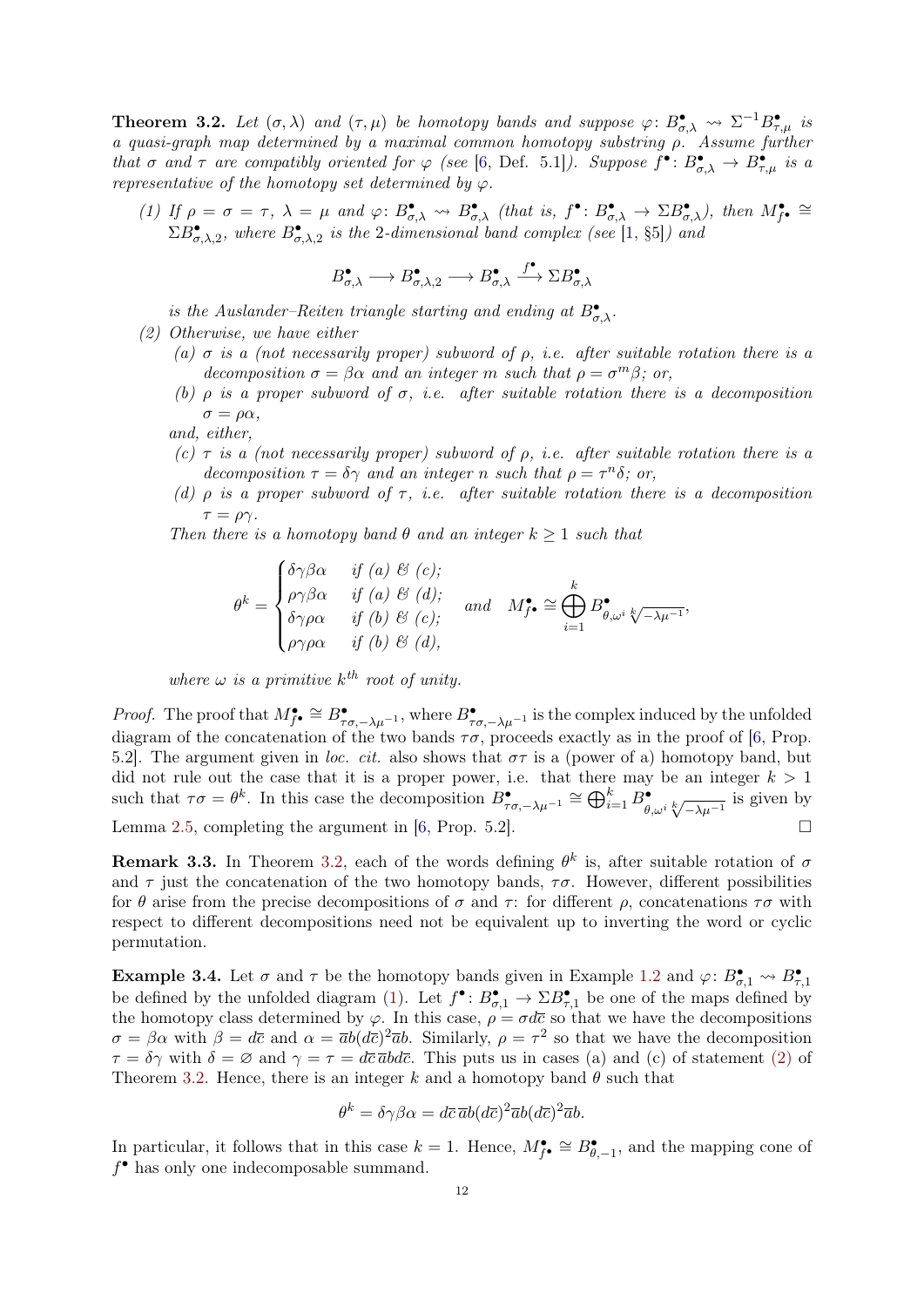<span id="page-11-0"></span>**Theorem 3.2.** Let  $(\sigma, \lambda)$  and  $(\tau, \mu)$  be homotopy bands and suppose  $\varphi: B^{\bullet}_{\sigma, \lambda} \leadsto \Sigma^{-1} B^{\bullet}_{\tau, \mu}$  is a quasi-graph map determined by a maximal common homotopy substring ρ. Assume further that  $\sigma$  and  $\tau$  are compatibly oriented for  $\varphi$  (see [\[6,](#page-13-1) Def. 5.1]). Suppose  $f^{\bullet} \colon B^{\bullet}_{\sigma,\lambda} \to B^{\bullet}_{\tau,\mu}$  is a representative of the homotopy set determined by  $\varphi$ .

(1) If  $\rho = \sigma = \tau$ ,  $\lambda = \mu$  and  $\varphi: B^{\bullet}_{\sigma,\lambda} \leadsto B^{\bullet}_{\sigma,\lambda}$  (that is,  $f^{\bullet}: B^{\bullet}_{\sigma,\lambda} \to \Sigma B^{\bullet}_{\sigma,\lambda}$ ), then  $M^{\bullet}_{f^{\bullet}} \cong$  $\Sigma B_{\sigma,\lambda,2}^{\bullet}$ , where  $B_{\sigma,\lambda,2}^{\bullet}$  is the 2-dimensional band complex (see [\[1,](#page-12-0) §5]) and

$$
B^{\bullet}_{\sigma,\lambda} \longrightarrow B^{\bullet}_{\sigma,\lambda,2} \longrightarrow B^{\bullet}_{\sigma,\lambda} \stackrel{f^{\bullet}}{\longrightarrow} \Sigma B^{\bullet}_{\sigma,\lambda}
$$

is the Auslander–Reiten triangle starting and ending at  $B_{\sigma,\lambda}^{\bullet}$ .

- <span id="page-11-1"></span>(2) Otherwise, we have either
	- (a)  $\sigma$  is a (not necessarily proper) subword of  $\rho$ , i.e. after suitable rotation there is a decomposition  $\sigma = \beta \alpha$  and an integer m such that  $\rho = \sigma^m \beta$ ; or,
	- (b)  $\rho$  is a proper subword of  $\sigma$ , i.e. after suitable rotation there is a decomposition  $\sigma = \rho \alpha$ ,

and, either,

- (c)  $\tau$  is a (not necessarily proper) subword of  $\rho$ , i.e. after suitable rotation there is a decomposition  $\tau = \delta \gamma$  and an integer n such that  $\rho = \tau^n \delta$ ; or,
- (d)  $\rho$  is a proper subword of  $\tau$ , i.e. after suitable rotation there is a decomposition  $\tau = \rho \gamma$ .

Then there is a homotopy band  $\theta$  and an integer  $k \geq 1$  such that

$$
\theta^{k} = \begin{cases}\n\delta\gamma\beta\alpha & \text{if (a) } \mathcal{B} \text{ (c)}; \\
\rho\gamma\beta\alpha & \text{if (a) } \mathcal{B} \text{ (d)}; \\
\delta\gamma\rho\alpha & \text{if (b) } \mathcal{B} \text{ (c)}; \\
\rho\gamma\rho\alpha & \text{if (b) } \mathcal{B} \text{ (d)};\n\end{cases} \text{ and } M_{f}^{\bullet} \cong \bigoplus_{i=1}^{k} B_{\theta,\omega^{i}}^{\bullet} \sqrt[k]{-\lambda\mu^{-1}},
$$

where  $\omega$  is a primitive  $k^{th}$  root of unity.

*Proof.* The proof that  $M_{f^{\bullet}}^{\bullet} \cong B_{\tau\sigma,-\lambda\mu^{-1}}^{\bullet}$ , where  $B_{\tau\sigma,-\lambda\mu^{-1}}^{\bullet}$  is the complex induced by the unfolded diagram of the concatenation of the two bands  $\tau\sigma$ , proceeds exactly as in the proof of [\[6,](#page-13-1) Prop. 5.2]. The argument given in loc. cit. also shows that  $\sigma\tau$  is a (power of a) homotopy band, but did not rule out the case that it is a proper power, i.e. that there may be an integer  $k > 1$ such that  $\tau \sigma = \theta^k$ . In this case the decomposition  $B^{\bullet}_{\tau \sigma, -\lambda \mu^{-1}} \cong \bigoplus_{i=1}^k B^{\bullet}_{\theta, \omega^i} \sqrt[k]{-\lambda \mu^{-1}}$  is given by Lemma [2.5,](#page-7-0) completing the argument in [\[6,](#page-13-1) Prop. 5.2].

**Remark 3.3.** In Theorem [3.2,](#page-11-0) each of the words defining  $\theta^k$  is, after suitable rotation of  $\sigma$ and  $\tau$  just the concatenation of the two homotopy bands,  $\tau\sigma$ . However, different possibilities for  $\theta$  arise from the precise decompositions of  $\sigma$  and  $\tau$ : for different  $\rho$ , concatenations  $\tau\sigma$  with respect to different decompositions need not be equivalent up to inverting the word or cyclic permutation.

**Example 3.4.** Let  $\sigma$  and  $\tau$  be the homotopy bands given in Example [1.2](#page-1-2) and  $\varphi: B^{\bullet}_{\sigma,1} \rightsquigarrow B^{\bullet}_{\tau,1}$ be defined by the unfolded diagram [\(1\)](#page-1-3). Let  $f^{\bullet} \colon B^{\bullet}_{\sigma,1} \to \Sigma B^{\bullet}_{\tau,1}$  be one of the maps defined by the homotopy class determined by  $\varphi$ . In this case,  $\rho = \sigma d\bar{c}$  so that we have the decompositions  $\sigma = \beta \alpha$  with  $\beta = d\bar{c}$  and  $\alpha = \bar{a}b(d\bar{c})^2\bar{a}b$ . Similarly,  $\rho = \tau^2$  so that we have the decomposition  $\tau = \delta \gamma$  with  $\delta = \varnothing$  and  $\gamma = \tau = d\bar{c} \bar{a} b d\bar{c}$ . This puts us in cases (a) and (c) of statement [\(2\)](#page-11-1) of Theorem [3.2.](#page-11-0) Hence, there is an integer k and a homotopy band  $\theta$  such that

$$
\theta^k = \delta \gamma \beta \alpha = d\overline{c} \, \overline{a} b (d\overline{c})^2 \overline{a} b (d\overline{c})^2 \overline{a} b.
$$

In particular, it follows that in this case  $k = 1$ . Hence,  $M_{f^{\bullet}}^{\bullet} \cong B_{\theta, -1}^{\bullet}$ , and the mapping cone of f • has only one indecomposable summand.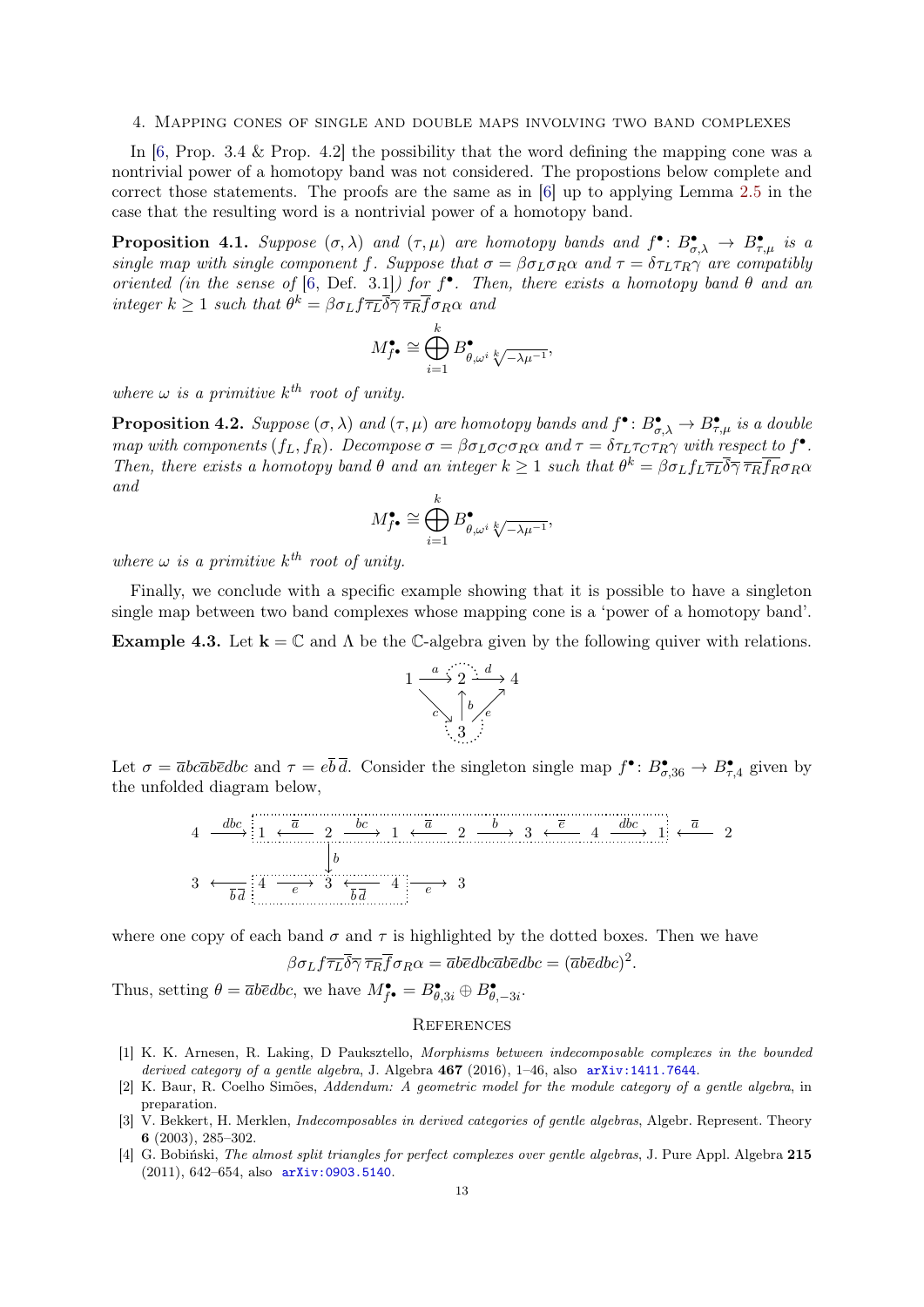#### <span id="page-12-3"></span>4. Mapping cones of single and double maps involving two band complexes

In  $[6,$  Prop. 3.4 & Prop. 4.2 the possibility that the word defining the mapping cone was a nontrivial power of a homotopy band was not considered. The propostions below complete and correct those statements. The proofs are the same as in [\[6\]](#page-13-1) up to applying Lemma [2.5](#page-7-0) in the case that the resulting word is a nontrivial power of a homotopy band.

**Proposition 4.1.** Suppose  $(\sigma, \lambda)$  and  $(\tau, \mu)$  are homotopy bands and  $f^{\bullet} \colon B^{\bullet}_{\sigma, \lambda} \to B^{\bullet}_{\tau, \mu}$  is a single map with single component f. Suppose that  $\sigma = \beta \sigma_L \sigma_R \alpha$  and  $\tau = \delta \tau_L \tau_R \gamma$  are compatibly oriented (in the sense of [\[6,](#page-13-1) Def. 3.1]) for  $f^{\bullet}$ . Then, there exists a homotopy band  $\theta$  and an integer  $k \geq 1$  such that  $\theta^k = \beta \sigma_L f \overline{\tau_L} \overline{\delta} \overline{\gamma} \overline{\tau_R} \overline{f} \sigma_R \alpha$  and

$$
M_{f^{\bullet}}^{\bullet} \cong \bigoplus_{i=1}^{k} B_{\theta,\omega^i}^{\bullet} \sqrt[k]{-\lambda \mu^{-1}},
$$

where  $\omega$  is a primitive  $k^{th}$  root of unity.

**Proposition 4.2.** Suppose  $(\sigma, \lambda)$  and  $(\tau, \mu)$  are homotopy bands and  $f^{\bullet} \colon B^{\bullet}_{\sigma, \lambda} \to B^{\bullet}_{\tau, \mu}$  is a double map with components  $(f_L, f_R)$ . Decompose  $\sigma = \beta \sigma_L \sigma_C \sigma_R \alpha$  and  $\tau = \delta \tau_L \tau_C \tau_R \gamma$  with respect to  $f^{\bullet}$ . Then, there exists a homotopy band  $\theta$  and an integer  $k \geq 1$  such that  $\theta^k = \beta \sigma_L f_L \overline{\tau_L} \overline{\delta} \overline{\gamma} \overline{\tau_R} \overline{f_R} \sigma_R \alpha$ and

$$
M^\bullet_{f^\bullet}\cong \bigoplus_{i=1}^k B^\bullet_{\theta,\omega^i}\sqrt[k]{-\lambda\mu^{-1}},
$$

where  $\omega$  is a primitive  $k^{th}$  root of unity.

Finally, we conclude with a specific example showing that it is possible to have a singleton single map between two band complexes whose mapping cone is a 'power of a homotopy band'.

**Example 4.3.** Let  $\mathbf{k} = \mathbb{C}$  and  $\Lambda$  be the C-algebra given by the following quiver with relations.



Let  $\sigma = \overline{a}bc\overline{a}b\overline{c}dbc$  and  $\tau = e\overline{b}\overline{d}$ . Consider the singleton single map  $f^{\bullet}$ :  $B^{\bullet}_{\sigma,36} \to B^{\bullet}_{\tau,4}$  given by the unfolded diagram below,



where one copy of each band  $\sigma$  and  $\tau$  is highlighted by the dotted boxes. Then we have

$$
\beta \sigma_L f \overline{\tau_L} \overline{\delta} \overline{\gamma} \overline{\tau_R} \overline{f} \sigma_R \alpha = \overline{a} b \overline{e} db \overline{c} \overline{a} \overline{b} \overline{e} \overline{d} \overline{b} c = (\overline{a} b \overline{e} \overline{d} \overline{b} c)^2.
$$

Thus, setting  $\theta = \overline{a}b\overline{e}dbc$ , we have  $M_{f^{\bullet}}^{\bullet} = B_{\theta,3i}^{\bullet} \oplus B_{\theta,-3i}^{\bullet}$ .

#### **REFERENCES**

- <span id="page-12-0"></span>[1] K. K. Arnesen, R. Laking, D Pauksztello, Morphisms between indecomposable complexes in the bounded derived category of a gentle algebra, J. Algebra  $467$  (2016), 1-46, also  $arXiv:1411.7644$ .
- <span id="page-12-4"></span>[2] K. Baur, R. Coelho Simões, Addendum: A geometric model for the module category of a gentle algebra, in preparation.
- <span id="page-12-1"></span>[3] V. Bekkert, H. Merklen, *Indecomposables in derived categories of gentle algebras*, Algebr. Represent. Theory 6 (2003), 285–302.
- <span id="page-12-2"></span>[4] G. Bobiński, The almost split triangles for perfect complexes over gentle algebras, J. Pure Appl. Algebra 215 (2011), 642–654, also [arXiv:0903.5140](http://arxiv.org/abs/0903.5140).